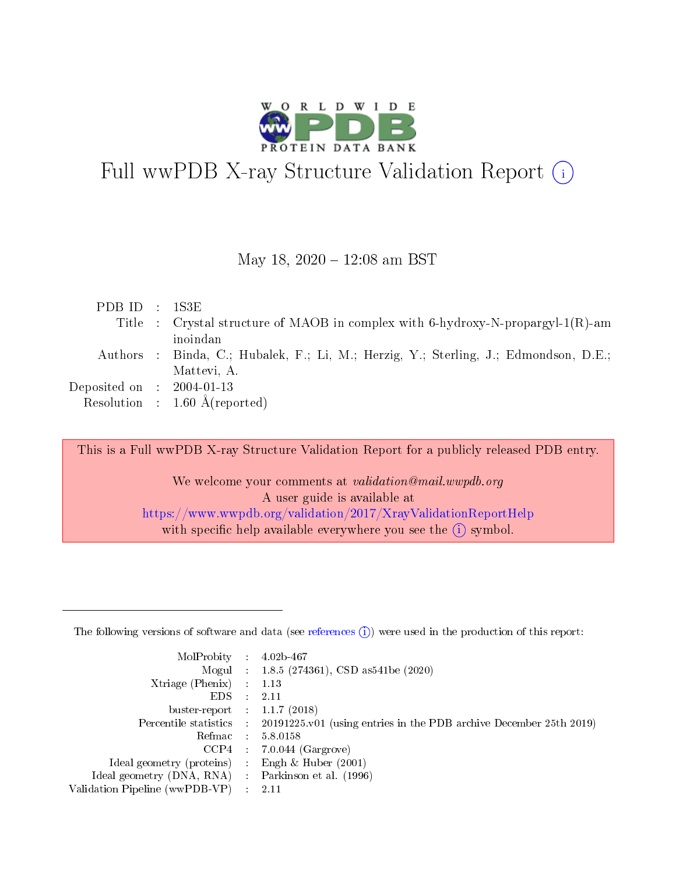

# Full wwPDB X-ray Structure Validation Report  $(i)$

May 18,  $2020 - 12:08$  am BST

| PDBID : 1S3E                        |                                                                                      |
|-------------------------------------|--------------------------------------------------------------------------------------|
|                                     | Title : Crystal structure of MAOB in complex with 6-hydroxy-N-propargyl-1(R)-am      |
|                                     | inoindan                                                                             |
|                                     | Authors : Binda, C.; Hubalek, F.; Li, M.; Herzig, Y.; Sterling, J.; Edmondson, D.E.; |
|                                     | Mattevi, A.                                                                          |
| Deposited on $\;$ : 2004-01-13 $\;$ |                                                                                      |
|                                     | Resolution : $1.60 \text{ Å}$ (reported)                                             |

This is a Full wwPDB X-ray Structure Validation Report for a publicly released PDB entry.

We welcome your comments at validation@mail.wwpdb.org A user guide is available at <https://www.wwpdb.org/validation/2017/XrayValidationReportHelp> with specific help available everywhere you see the  $(i)$  symbol.

The following versions of software and data (see [references](https://www.wwpdb.org/validation/2017/XrayValidationReportHelp#references)  $(1)$ ) were used in the production of this report:

| MolProbity :                   |               | $4.02b - 467$                                                               |
|--------------------------------|---------------|-----------------------------------------------------------------------------|
|                                |               | Mogul : $1.8.5$ (274361), CSD as 541be (2020)                               |
| Xtriage (Phenix)               | $\mathcal{L}$ | 1.13                                                                        |
| EDS.                           |               | 2.11                                                                        |
| buster-report : $1.1.7$ (2018) |               |                                                                             |
| Percentile statistics :        |               | $20191225 \text{v}01$ (using entries in the PDB archive December 25th 2019) |
| Refmac :                       |               | 5.8.0158                                                                    |
| CCP4                           |               | $7.0.044$ (Gargrove)                                                        |
| Ideal geometry (proteins) :    |               | Engh $\&$ Huber (2001)                                                      |
| Ideal geometry (DNA, RNA) :    |               | Parkinson et al. (1996)                                                     |
| Validation Pipeline (wwPDB-VP) | $\mathcal{L}$ | 2.11                                                                        |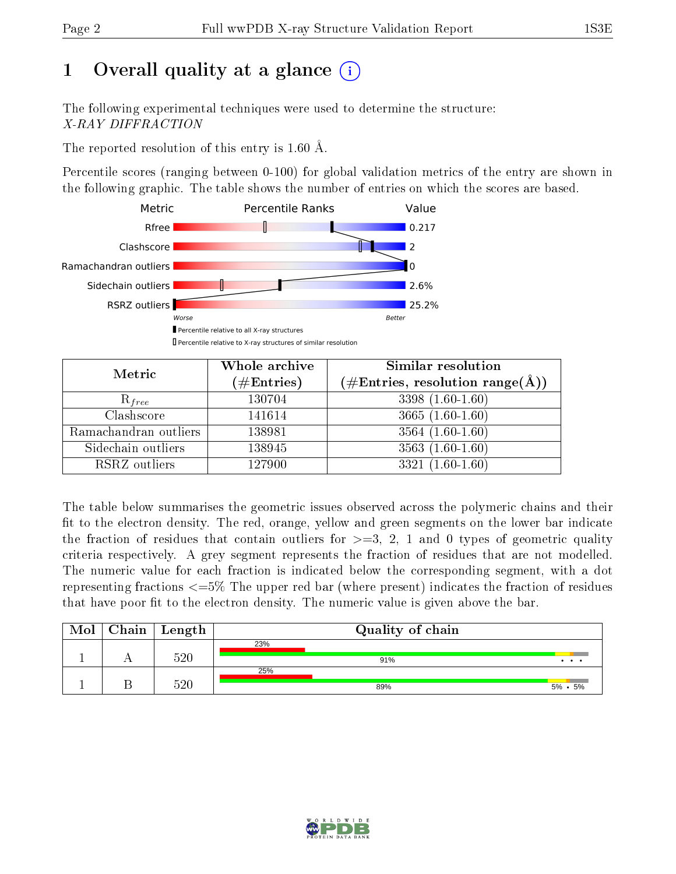# 1 [O](https://www.wwpdb.org/validation/2017/XrayValidationReportHelp#overall_quality)verall quality at a glance  $(i)$

The following experimental techniques were used to determine the structure: X-RAY DIFFRACTION

The reported resolution of this entry is 1.60 Å.

Percentile scores (ranging between 0-100) for global validation metrics of the entry are shown in the following graphic. The table shows the number of entries on which the scores are based.



| Metric                | Whole archive<br>$(\#\text{Entries})$ | Similar resolution<br>(#Entries, resolution range( $\AA$ )) |
|-----------------------|---------------------------------------|-------------------------------------------------------------|
| $R_{free}$            | 130704                                | $3398(1.60-1.60)$                                           |
| Clashscore            | 141614                                | $3665(1.60-1.60)$                                           |
| Ramachandran outliers | 138981                                | $3564(1.60-1.60)$                                           |
| Sidechain outliers    | 138945                                | $3563(1.60-1.60)$                                           |
| RSRZ outliers         | 127900                                | $3321(1.60-1.60)$                                           |

The table below summarises the geometric issues observed across the polymeric chains and their fit to the electron density. The red, orange, yellow and green segments on the lower bar indicate the fraction of residues that contain outliers for  $>=3, 2, 1$  and 0 types of geometric quality criteria respectively. A grey segment represents the fraction of residues that are not modelled. The numeric value for each fraction is indicated below the corresponding segment, with a dot representing fractions  $\epsilon=5\%$  The upper red bar (where present) indicates the fraction of residues that have poor fit to the electron density. The numeric value is given above the bar.

| Mol | Chain   Length | Quality of chain |             |  |  |  |
|-----|----------------|------------------|-------------|--|--|--|
|     |                | 23%              |             |  |  |  |
|     | 520            | 91%              | $\cdots$    |  |  |  |
|     |                | 25%              |             |  |  |  |
|     | 520            | 89%              | $5\% - 5\%$ |  |  |  |

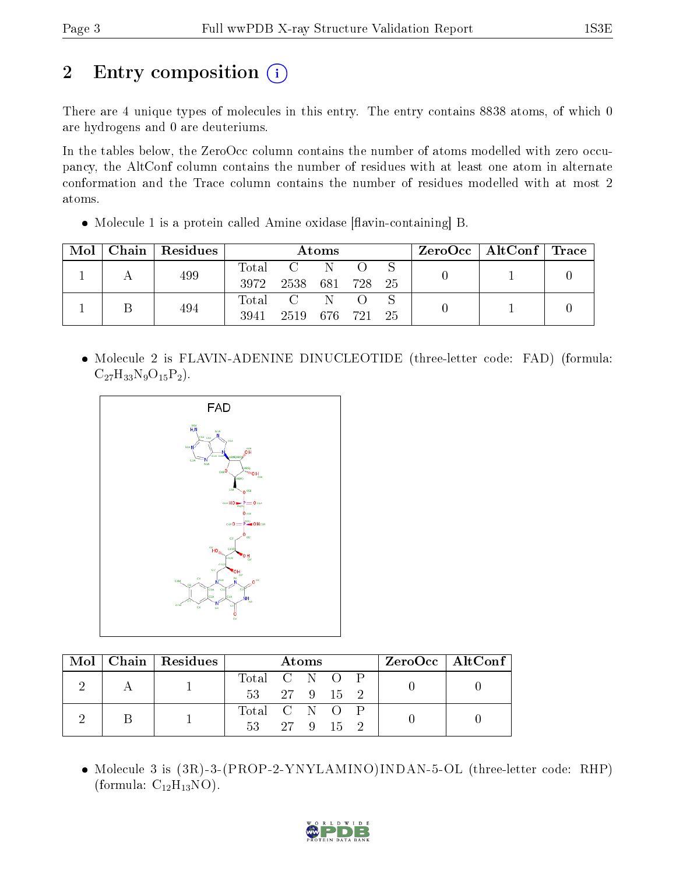# 2 Entry composition (i)

There are 4 unique types of molecules in this entry. The entry contains 8838 atoms, of which 0 are hydrogens and 0 are deuteriums.

In the tables below, the ZeroOcc column contains the number of atoms modelled with zero occupancy, the AltConf column contains the number of residues with at least one atom in alternate conformation and the Trace column contains the number of residues modelled with at most 2 atoms.

 $\bullet$  Molecule 1 is a protein called Amine oxidase [flavin-containing] B.

| Mol |     | Chain   Residues | Atoms           |                                                       |     |  | $\text{ZeroOcc} \mid \text{AltConf} \mid \text{Trace}$ |  |  |
|-----|-----|------------------|-----------------|-------------------------------------------------------|-----|--|--------------------------------------------------------|--|--|
|     | 499 |                  | Total           | $\overline{\mathbf{C}}$ . The $\overline{\mathbf{C}}$ | - N |  |                                                        |  |  |
|     |     | 3972             | 2538 681 728 25 |                                                       |     |  |                                                        |  |  |
|     |     |                  | Total           | $\overline{C}$                                        | N.  |  |                                                        |  |  |
|     | 494 | 3941             | 2519 676 721 25 |                                                       |     |  |                                                        |  |  |

• Molecule 2 is FLAVIN-ADENINE DINUCLEOTIDE (three-letter code: FAD) (formula:  $C_{27}H_{33}N_9O_{15}P_2$ .



|  |  | Mol   Chain   Residues | Atoms.        |  |  |  | ZeroOcc   AltConf |  |  |
|--|--|------------------------|---------------|--|--|--|-------------------|--|--|
|  |  |                        | Total C N O P |  |  |  |                   |  |  |
|  |  | 53 27 9 15 2           |               |  |  |  |                   |  |  |
|  |  |                        | Total C N O P |  |  |  |                   |  |  |
|  |  |                        | 53 27 9 15 2  |  |  |  |                   |  |  |

• Molecule 3 is (3R)-3-(PROP-2-YNYLAMINO)INDAN-5-OL (three-letter code: RHP) (formula:  $C_{12}H_{13}NO$ ).

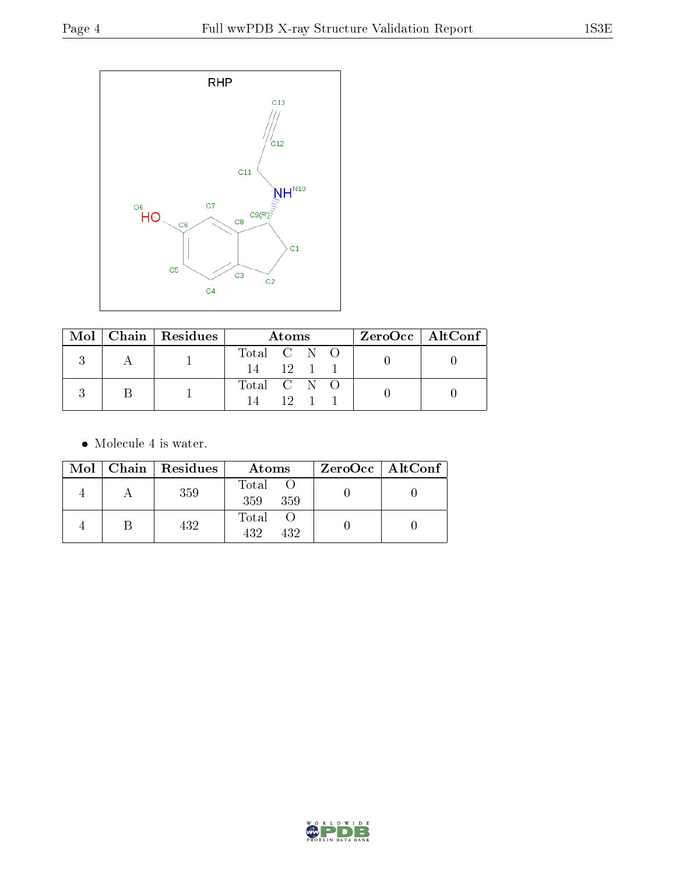

|  |  | $Mol$   Chain   Residues | Atoms         | $ZeroOcc \   \$ AltConf |  |
|--|--|--------------------------|---------------|-------------------------|--|
|  |  |                          | Total C N O   |                         |  |
|  |  |                          | $-12$ 1<br>14 |                         |  |
|  |  |                          | Total C N O   |                         |  |
|  |  |                          | 19.           |                         |  |

• Molecule 4 is water.

|  | Mol   Chain   Residues | Atoms               | $ZeroOcc \   \ AltConf \  $ |
|--|------------------------|---------------------|-----------------------------|
|  | 359                    | Total<br>359<br>359 |                             |
|  | 432                    | Total<br>432<br>432 |                             |

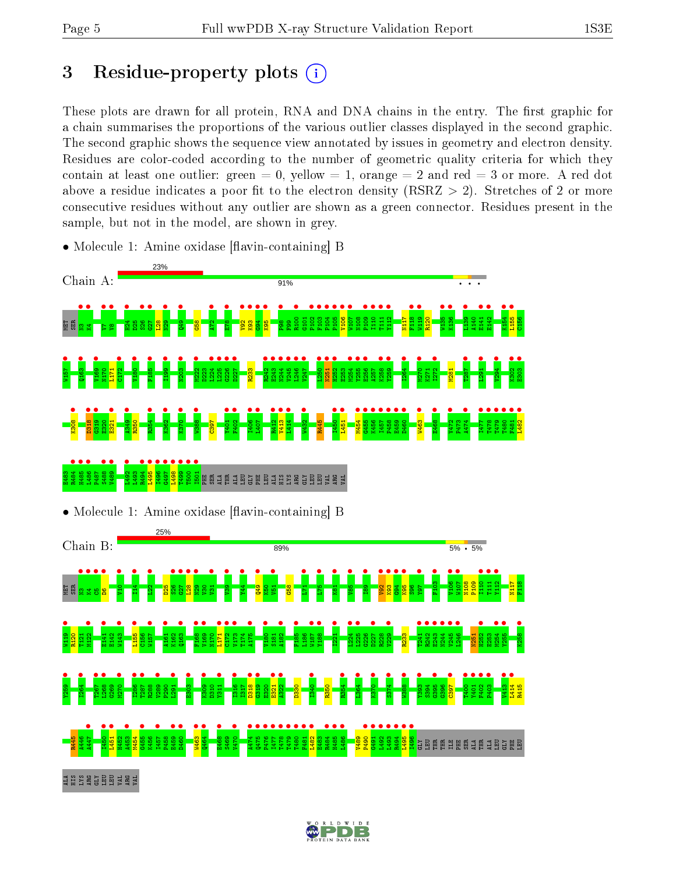## 3 Residue-property plots  $(i)$

These plots are drawn for all protein, RNA and DNA chains in the entry. The first graphic for a chain summarises the proportions of the various outlier classes displayed in the second graphic. The second graphic shows the sequence view annotated by issues in geometry and electron density. Residues are color-coded according to the number of geometric quality criteria for which they contain at least one outlier: green  $= 0$ , yellow  $= 1$ , orange  $= 2$  and red  $= 3$  or more. A red dot above a residue indicates a poor fit to the electron density (RSRZ  $> 2$ ). Stretches of 2 or more consecutive residues without any outlier are shown as a green connector. Residues present in the sample, but not in the model, are shown in grey.

• Molecule 1: Amine oxidase [flavin-containing] B

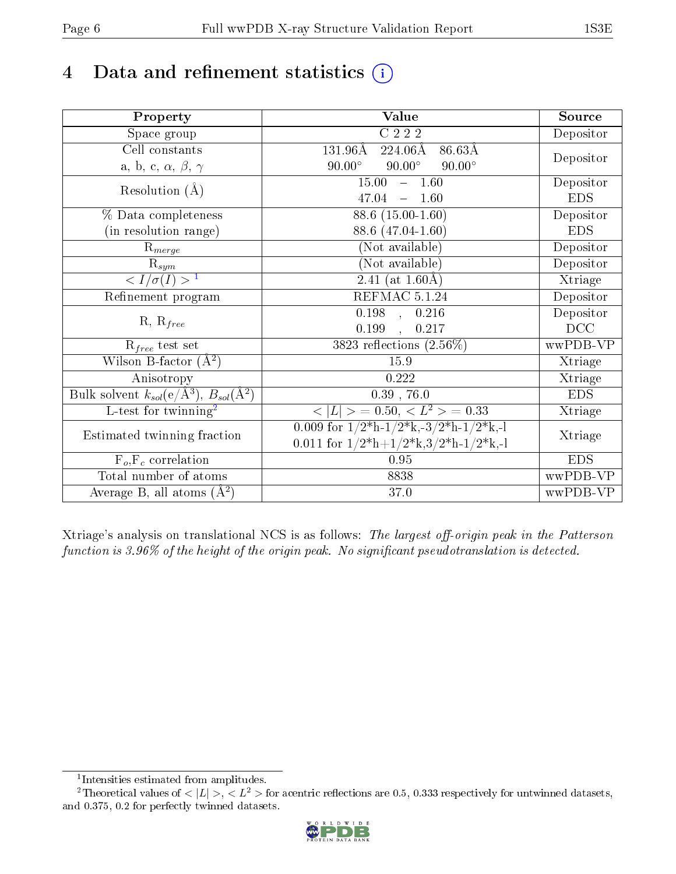# 4 Data and refinement statistics  $(i)$

| Property                                                             | <b>Value</b>                                                                          | Source     |
|----------------------------------------------------------------------|---------------------------------------------------------------------------------------|------------|
| Space group                                                          | $C$ 222                                                                               | Depositor  |
| Cell constants                                                       | $131.96\text{\AA}$<br>$224.06\text{\AA}$<br>$86.63\text{\AA}$                         |            |
| a, b, c, $\alpha$ , $\beta$ , $\gamma$                               | $90.00^\circ$<br>$90.00^\circ$<br>$90.00^\circ$                                       | Depositor  |
| Resolution $(A)$                                                     | 15.00<br>$-1.60$                                                                      | Depositor  |
|                                                                      | 47.04<br>$-1.60$                                                                      | <b>EDS</b> |
| % Data completeness                                                  | 88.6 (15.00-1.60)                                                                     | Depositor  |
| (in resolution range)                                                | 88.6 (47.04-1.60)                                                                     | <b>EDS</b> |
| $R_{merge}$                                                          | (Not available)                                                                       | Depositor  |
| $\mathbf{R}_{sym}$                                                   | (Not available)                                                                       | Depositor  |
| $\frac{1}{\sigma(I)}$                                                | $2.41$ (at 1.60Å)                                                                     | Xtriage    |
| Refinement program                                                   | REFMAC 5.1.24                                                                         | Depositor  |
|                                                                      | $0.198$ , $0.216$                                                                     | Depositor  |
| $R, R_{free}$                                                        | 0.199<br>0.217<br>$\overline{a}$                                                      | DCC        |
| $R_{free}$ test set                                                  | 3823 reflections $(2.56\%)$                                                           | wwPDB-VP   |
| Wilson B-factor $(A^2)$                                              | 15.9                                                                                  | Xtriage    |
| Anisotropy                                                           | 0.222                                                                                 | Xtriage    |
| Bulk solvent $k_{sol}(e/\mathring{A}^3)$ , $B_{sol}(\mathring{A}^2)$ | $0.39$ , 76.0                                                                         | <b>EDS</b> |
| $\overline{L-test}$ for twinning <sup>2</sup>                        | $\langle  L  \rangle = 0.50, \langle L^2 \rangle = 0.33$                              | Xtriage    |
| Estimated twinning fraction                                          | 0.009 for $1/2^{\ast}h$ -1/2 <sup>*</sup> k,-3/2 <sup>*</sup> h-1/2 <sup>*</sup> k,-1 | Xtriage    |
|                                                                      | 0.011 for $1/2^*h+1/2^*k$ , $3/2^*h-1/2^*k$ , -1                                      |            |
| $F_o, F_c$ correlation                                               | 0.95                                                                                  | <b>EDS</b> |
| Total number of atoms                                                | 8838                                                                                  | wwPDB-VP   |
| Average B, all atoms $(A^2)$                                         | 37.0                                                                                  | wwPDB-VP   |

Xtriage's analysis on translational NCS is as follows: The largest off-origin peak in the Patterson function is  $3.96\%$  of the height of the origin peak. No significant pseudotranslation is detected.

<sup>&</sup>lt;sup>2</sup>Theoretical values of  $\langle |L| \rangle$ ,  $\langle L^2 \rangle$  for acentric reflections are 0.5, 0.333 respectively for untwinned datasets, and 0.375, 0.2 for perfectly twinned datasets.



<span id="page-5-1"></span><span id="page-5-0"></span><sup>1</sup> Intensities estimated from amplitudes.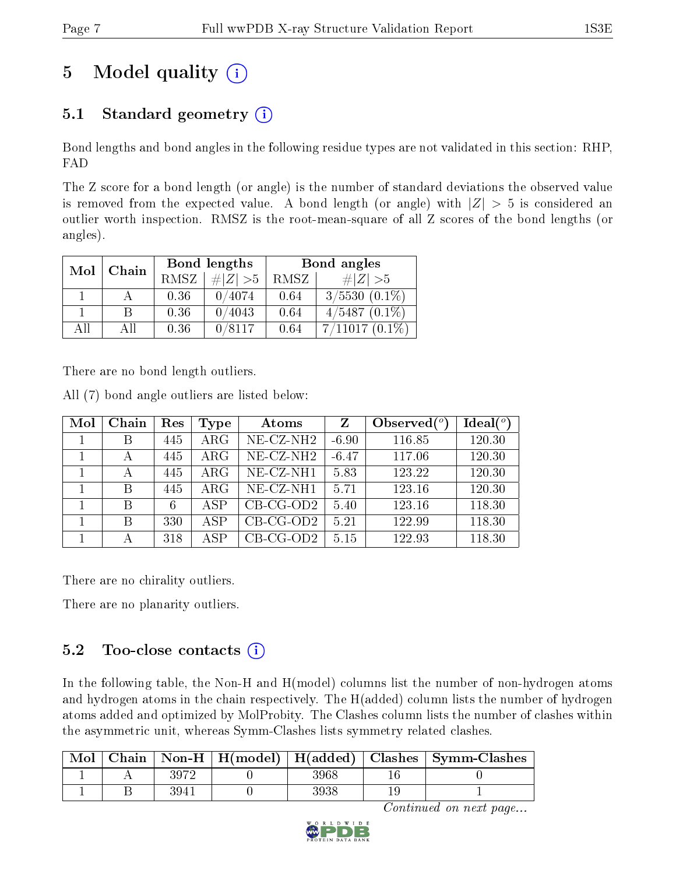# 5 Model quality  $(i)$

### 5.1 Standard geometry  $(i)$

Bond lengths and bond angles in the following residue types are not validated in this section: RHP, FAD

The Z score for a bond length (or angle) is the number of standard deviations the observed value is removed from the expected value. A bond length (or angle) with  $|Z| > 5$  is considered an outlier worth inspection. RMSZ is the root-mean-square of all Z scores of the bond lengths (or angles).

| Mol | Chain |             | Bond lengths | Bond angles |                  |  |
|-----|-------|-------------|--------------|-------------|------------------|--|
|     |       | <b>RMSZ</b> | $\# Z  > 5$  | RMSZ        | # $ Z  > 5$      |  |
|     |       | 0.36        | 0/4074       | 0.64        | $3/5530(0.1\%)$  |  |
|     | B     | 0.36        | 0/4043       | 0.64        | $4/5487(0.1\%)$  |  |
| All | All   | 0.36        | 0/8117       | 0.64        | $7/11017(0.1\%)$ |  |

There are no bond length outliers.

All (7) bond angle outliers are listed below:

| Mol | Chain | Res | Type       | Atoms                    | Z       | Observed $(°)$ | Ideal $(°)$ |
|-----|-------|-----|------------|--------------------------|---------|----------------|-------------|
|     | В     | 445 | $\rm{ARG}$ | $NE$ -CZ-NH <sub>2</sub> | $-6.90$ | 116.85         | 120.30      |
|     |       | 445 | $\rm{ARG}$ | NE-CZ-NH <sub>2</sub>    | $-6.47$ | 117.06         | 120.30      |
|     |       | 445 | $\rm{ARG}$ | NE-CZ-NH1                | 5.83    | 123.22         | 120.30      |
|     | B     | 445 | $\rm{ARG}$ | NE-CZ-NH1                | 5.71    | 123.16         | 120.30      |
|     | В     | 6   | A SP       | $CB-CG-OD2$              | 5.40    | 123.16         | 118.30      |
|     | В     | 330 | A SP       | $CB-CG-OD2$              | 5.21    | 122.99         | 118.30      |
|     |       | 318 | A SP       | $CB-CG-OD2$              | 5.15    | 122.93         | 118.30      |

There are no chirality outliers.

There are no planarity outliers.

### 5.2 Too-close contacts  $\overline{()}$

In the following table, the Non-H and H(model) columns list the number of non-hydrogen atoms and hydrogen atoms in the chain respectively. The H(added) column lists the number of hydrogen atoms added and optimized by MolProbity. The Clashes column lists the number of clashes within the asymmetric unit, whereas Symm-Clashes lists symmetry related clashes.

| Mol |      |      | Chain   Non-H   H(model)   H(added)   Clashes   Symm-Clashes |
|-----|------|------|--------------------------------------------------------------|
|     | 3972 | 3968 |                                                              |
|     | 3941 |      |                                                              |

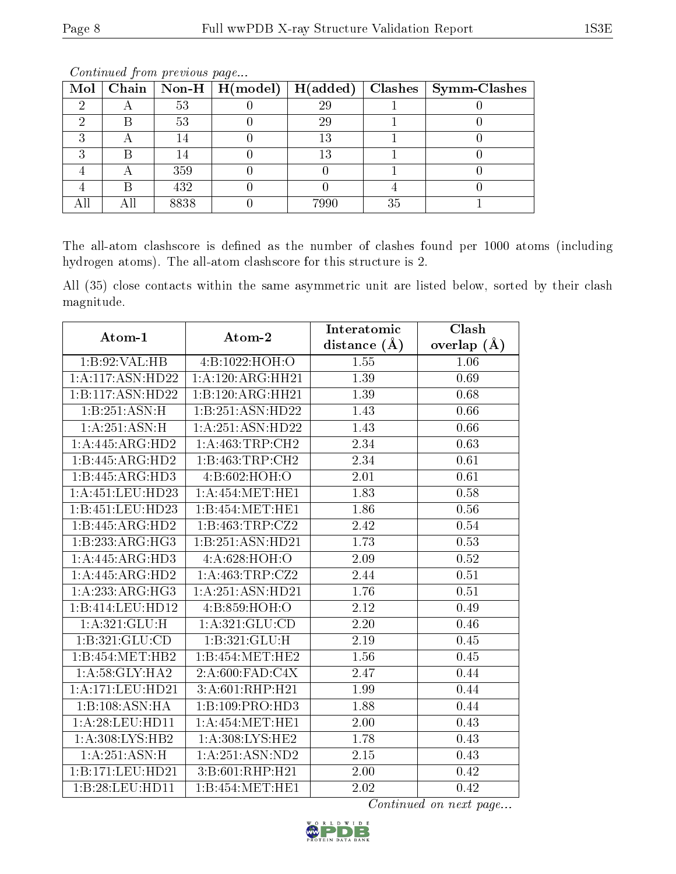|  |      |      |    | Mol   Chain   Non-H   H(model)   H(added)   Clashes   Symm-Clashes |
|--|------|------|----|--------------------------------------------------------------------|
|  | 53   | 29   |    |                                                                    |
|  | 53   | 29   |    |                                                                    |
|  |      | 13   |    |                                                                    |
|  |      | 13   |    |                                                                    |
|  | 359  |      |    |                                                                    |
|  | 432  |      |    |                                                                    |
|  | 8838 | 7990 | 35 |                                                                    |

The all-atom clashscore is defined as the number of clashes found per 1000 atoms (including hydrogen atoms). The all-atom clashscore for this structure is 2.

All (35) close contacts within the same asymmetric unit are listed below, sorted by their clash magnitude.

| Atom-1                       | Atom-2             | Interatomic       | Clash         |  |
|------------------------------|--------------------|-------------------|---------------|--|
|                              |                    | distance $(A)$    | overlap $(A)$ |  |
| 1:B:92:VAL:HB                | 4:B:1022:HOH:O     | 1.55              | 1.06          |  |
| 1:A:117:ASN:HD22             | 1:A:120:ARG:HH21   | 1.39              | 0.69          |  |
| 1:B:117:ASN:HD22             | 1:B:120:ARG:HH21   | 1.39              | 0.68          |  |
| 1:B:251:ASN:H                | 1:B:251:ASN:HD22   | 1.43              | 0.66          |  |
| 1: A:251: ASN:H              | 1:A:251:ASN:HD22   | $\overline{1.43}$ | 0.66          |  |
| 1:A:445:ARG:HD2              | 1: A:463:TRP:CH2   | 2.34              | 0.63          |  |
| 1:B:445:ARG:HD2              | 1:B:463:TRP:CH2    | 2.34              | 0.61          |  |
| $1:B:445:AR\overline{G:HD3}$ | 4:B:602:HOH:O      | 2.01              | 0.61          |  |
| 1:A:451:LEU:HD23             | 1: A:454:MET:HE1   | 1.83              | 0.58          |  |
| 1:B:451:LEU:HD23             | 1:B:454:MET:HE1    | 1.86              | 0.56          |  |
| 1:B:445:ARG:HD2              | 1:B:463:TRP:CZ2    | 2.42              | 0.54          |  |
| 1:B:233:ARG:HG3              | 1:B:251:ASN:HD21   | 1.73              | 0.53          |  |
| 1:A:445:ARG:HD3              | 4:A:628:HOH:O      | 2.09              | 0.52          |  |
| 1:A:445:ARG:HD2              | 1:A:463:TRP:CZ2    | 2.44              | 0.51          |  |
| $1:A:233:A\overline{RG:HG3}$ | 1:A:251:ASN:HD21   | 1.76              | 0.51          |  |
| 1:B:414:LEU:HD12             | 4:B:859:HOH:O      | 2.12              | 0.49          |  |
| 1: A:321: GLU: H             | 1: A:321: GLU:CD   | $\overline{2.20}$ | 0.46          |  |
| 1:B:321:GLU:CD               | 1:B:321:GLU:H      | 2.19              | 0.45          |  |
| 1:B:454:MET:HB2              | 1:B:454:MET:HE2    | 1.56              | 0.45          |  |
| 1: A:58: GLY: HA2            | 2:A:600:FAD:C4X    | 2.47              | 0.44          |  |
| 1:A:171:LEU:HD21             | 3:A:601:RHP:H21    | 1.99              | 0.44          |  |
| 1:B:108:ASN:HA               | 1:B:109:PRO:HD3    | 1.88              | 0.44          |  |
| 1:A:28:LEU:HD11              | 1: A:454:MET:HE1   | 2.00              | 0.43          |  |
| 1:A:308:LYS:HB2              | 1:A:308:LYS:HE2    | 1.78              | 0.43          |  |
| 1: A:251: ASN:H              | $1:$ A:251:ASN:ND2 | 2.15              | 0.43          |  |
| 1:B:171:LEU:HD21             | 3:B:601:RHP:H21    | 2.00              | 0.42          |  |
| 1:B:28:LEU:HD11              | 1:B:454:MET:HE1    | 2.02              | 0.42          |  |

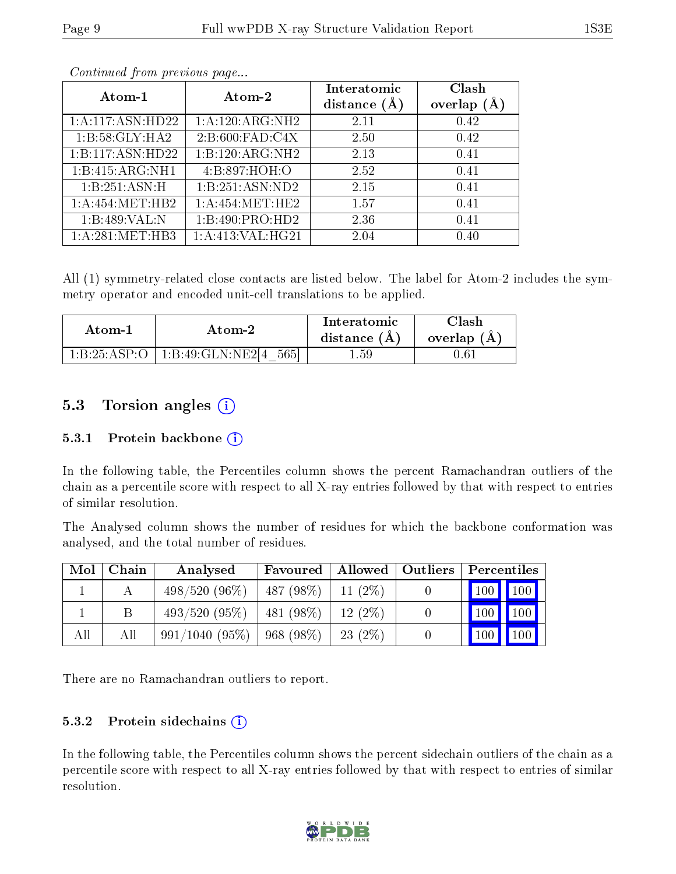Clash overlap (Å)

| Atom-1            | Atom-2             | Interatomic<br>distance $(A)$ | Clas.<br>overlap |
|-------------------|--------------------|-------------------------------|------------------|
| 1:A:117:ASN:HD22  | 1:A:120:ARG:NH2    | 2.11                          | 0.42             |
| 1:B:58:GLY:HA2    | 2: B:600: FAD: C4X | 2.50                          | 0.42             |
| 1:B:117:ASN:HD22  | 1:B:120:ARG:NH2    | 2.13                          | 0.41             |
| 1:B:415:ARG:NH1   | 4:B:897:HOH:O      | 2.52                          | 0.41             |
| 1:B:251:ASN:H     | 1:B:251:ASN:ND2    | 2.15                          | 0.41             |
| 1: A:454: MET:HB2 | 1: A:454:MET:HE2   | 1.57                          | 0.41             |

1:B:489:VAL:N | 1:B:490:PRO:HD2 | 2.36 | 0.41 1:A:281:MET:HB3 | 1:A:413:VAL:HG21 | 2.04 0.40

Continued from previous page...

All (1) symmetry-related close contacts are listed below. The label for Atom-2 includes the symmetry operator and encoded unit-cell translations to be applied.

| Atom-1       | Atom-2                   |     | Clash<br>overlap $(A)$ |
|--------------|--------------------------|-----|------------------------|
| 1:B:25:ASP:O | 565<br>1:B:49:GLN:NE2[4] | .59 | ).61                   |

### 5.3 Torsion angles (i)

#### 5.3.1 Protein backbone  $(i)$

In the following table, the Percentiles column shows the percent Ramachandran outliers of the chain as a percentile score with respect to all X-ray entries followed by that with respect to entries of similar resolution.

The Analysed column shows the number of residues for which the backbone conformation was analysed, and the total number of residues.

| Mol | Chain | Analysed         | Favoured    | $\mid$ Allowed $\mid$ Outliers | Percentiles       |
|-----|-------|------------------|-------------|--------------------------------|-------------------|
|     |       | $498/520(96\%)$  | 487 (98\%)  | $11(2\%)$                      | 100 100           |
|     |       | 493/520(95%)     | $481(98\%)$ | $12(2\%)$                      | 100<br><b>100</b> |
|     | Аll   | $991/1040(95\%)$ | 968 (98%)   | 23(2%)                         | 100<br>100        |

There are no Ramachandran outliers to report.

#### 5.3.2 Protein sidechains  $(i)$

In the following table, the Percentiles column shows the percent sidechain outliers of the chain as a percentile score with respect to all X-ray entries followed by that with respect to entries of similar resolution.

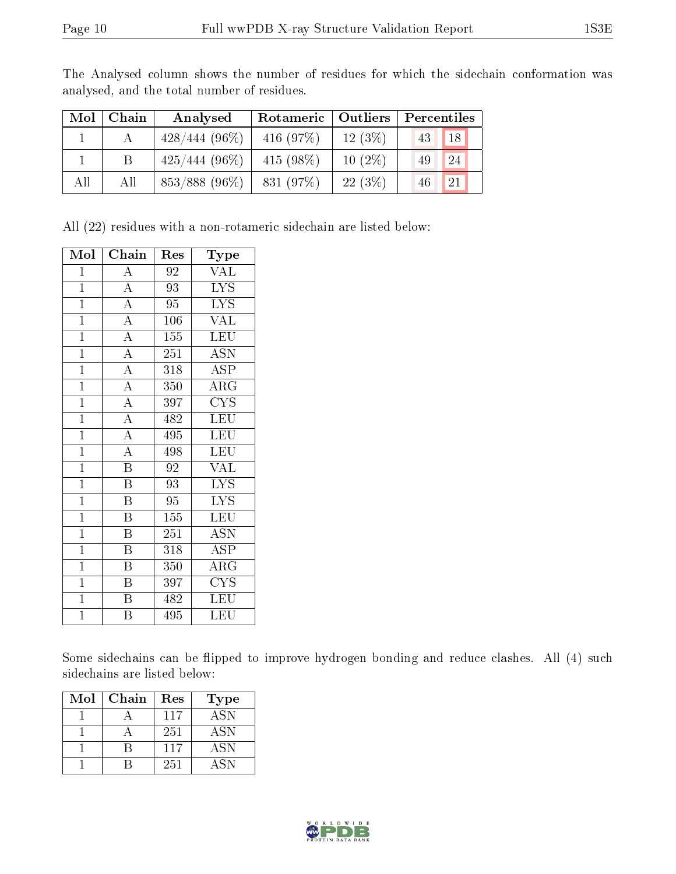| Mol | Chain | Analysed         | Rotameric   Outliers |           | Percentiles |
|-----|-------|------------------|----------------------|-----------|-------------|
|     |       | $428/444(96\%)$  | 416 $(97%)$          | $12(3\%)$ | 18<br>43    |
|     |       | $425/444(96\%)$  | $415(98\%)$          | $10(2\%)$ | 24<br>49    |
| All | Аll   | $853/888$ (96\%) | 831 (97%)            | $22(3\%)$ | 21          |

The Analysed column shows the number of residues for which the sidechain conformation was analysed, and the total number of residues.

All (22) residues with a non-rotameric sidechain are listed below:

| Mol            | Chain                   | Res             | $_{\rm Type}$           |
|----------------|-------------------------|-----------------|-------------------------|
| $\mathbf{1}$   | $\boldsymbol{A}$        | 92              | VAL                     |
| $\mathbf{1}$   | $\overline{A}$          | $\overline{93}$ | $\overline{\text{LYS}}$ |
| $\overline{1}$ | $\overline{A}$          | 95              | <b>LYS</b>              |
| $\mathbf{1}$   | $\overline{A}$          | 106             | $\overline{\text{VAL}}$ |
| $\overline{1}$ | $\overline{A}$          | 155             | LEU                     |
| $\mathbf{1}$   | $\overline{A}$          | 251             | <b>ASN</b>              |
| $\overline{1}$ | $\overline{A}$          | 318             | ASP                     |
| $\mathbf{1}$   | $\overline{\rm A}$      | 350             | ARG                     |
| $\overline{1}$ | $\overline{A}$          | 397             | $\overline{\text{CYS}}$ |
| $\overline{1}$ | $\overline{A}$          | 482             | LEU                     |
| $\mathbf{1}$   | $\overline{A}$          | 495             | <b>LEU</b>              |
| $\mathbf{1}$   | $\overline{\rm A}$      | 498             | LEU                     |
| $\overline{1}$ | $\overline{\mathrm{B}}$ | 92              | $\sqrt{\mathrm{AL}}$    |
| $\overline{1}$ | $\overline{\mathrm{B}}$ | $\overline{9}3$ | $\overline{\text{LYS}}$ |
| $\mathbf{1}$   | $\, {\bf B}$            | 95              | <b>LYS</b>              |
| $\mathbf{1}$   | $\overline{\mathrm{B}}$ | 155             | LEU                     |
| $\mathbf{1}$   | $\overline{B}$          | 251             | <b>ASN</b>              |
| $\overline{1}$ | B                       | 318             | ASP                     |
| $\mathbf{1}$   | $\overline{\mathrm{B}}$ | 350             | $\overline{\rm{ARG}}$   |
| $\mathbf{1}$   | $\boldsymbol{B}$        | 397             | <b>CYS</b>              |
| $\overline{1}$ | $\overline{\mathrm{B}}$ | 482             | LEU                     |
| $\overline{1}$ | B                       | 495             | <b>LEU</b>              |

Some sidechains can be flipped to improve hydrogen bonding and reduce clashes. All (4) such sidechains are listed below:

| $\operatorname{Mol}$ | Chain | Res | Type       |
|----------------------|-------|-----|------------|
|                      |       | 117 | <b>ASN</b> |
|                      |       | 251 | <b>ASN</b> |
|                      |       | 117 | <b>ASN</b> |
|                      |       | 251 | A SN       |

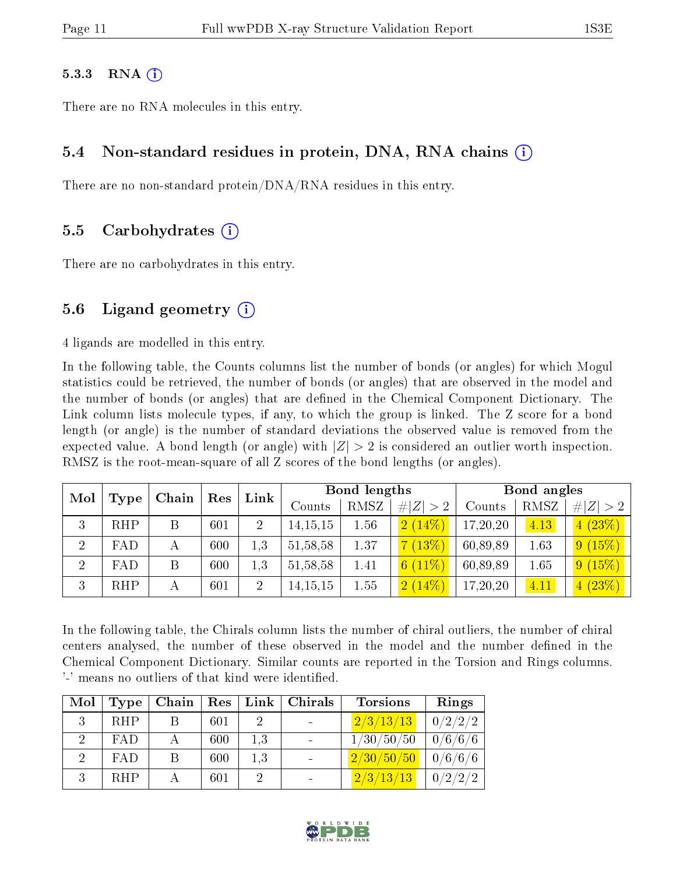#### $5.3.3$  RNA  $(i)$

There are no RNA molecules in this entry.

### 5.4 Non-standard residues in protein, DNA, RNA chains (i)

There are no non-standard protein/DNA/RNA residues in this entry.

#### 5.5 Carbohydrates (i)

There are no carbohydrates in this entry.

### 5.6 Ligand geometry  $(i)$

4 ligands are modelled in this entry.

In the following table, the Counts columns list the number of bonds (or angles) for which Mogul statistics could be retrieved, the number of bonds (or angles) that are observed in the model and the number of bonds (or angles) that are defined in the Chemical Component Dictionary. The Link column lists molecule types, if any, to which the group is linked. The Z score for a bond length (or angle) is the number of standard deviations the observed value is removed from the expected value. A bond length (or angle) with  $|Z| > 2$  is considered an outlier worth inspection. RMSZ is the root-mean-square of all Z scores of the bond lengths (or angles).

|                | Mol<br>Type | Chain |     |                |            |      |           |          |      | Res         | Link   | Bond lengths |             |  | Bond angles |  |  |
|----------------|-------------|-------|-----|----------------|------------|------|-----------|----------|------|-------------|--------|--------------|-------------|--|-------------|--|--|
|                |             |       |     |                |            |      |           | Counts   | RMSZ | # $ Z  > 2$ | Counts | RMSZ         | # $ Z  > 2$ |  |             |  |  |
| 3              | <b>RHP</b>  | B     | 601 | $\overline{2}$ | 14, 15, 15 | 1.56 | 2(14%)    | 17,20,20 | 4.13 | 4(23%)      |        |              |             |  |             |  |  |
| $\overline{2}$ | FAD         |       | 600 | 1.3            | 51, 58, 58 | 1.37 | 7(13%)    | 60,89,89 | 1.63 | 9(15%)      |        |              |             |  |             |  |  |
| 2              | FAD         | B     | 600 | 1.3            | 51, 58, 58 | 1.41 | $6(11\%)$ | 60,89,89 | 1.65 | 9(15%)      |        |              |             |  |             |  |  |
| 3              | <b>RHP</b>  | А     | 601 | $\overline{2}$ | 14, 15, 15 | 1.55 | 2(14%)    | 17,20,20 | 4.11 | 4(23%)      |        |              |             |  |             |  |  |

In the following table, the Chirals column lists the number of chiral outliers, the number of chiral centers analysed, the number of these observed in the model and the number defined in the Chemical Component Dictionary. Similar counts are reported in the Torsion and Rings columns. '-' means no outliers of that kind were identified.

| Mol                         | Type       | Chain   Res |     |     | Link   Chirals | <b>Torsions</b> | Rings      |
|-----------------------------|------------|-------------|-----|-----|----------------|-----------------|------------|
| 3                           | <b>RHP</b> |             | 601 |     |                | 2/3/13/13       | 0/2/2/2    |
| $\mathcal{D}$               | <b>FAD</b> |             | 600 | 1.3 |                | 1/30/50/50      | 0/6/6/6    |
| $\mathcal{D}_{\mathcal{L}}$ | FAD        | В           | 600 | 1.3 |                | 2/30/50/50      | $-0/6/6/6$ |
| 2                           | <b>RHP</b> |             | 601 |     |                | 2/3/13/13       | 0/2/2/2    |

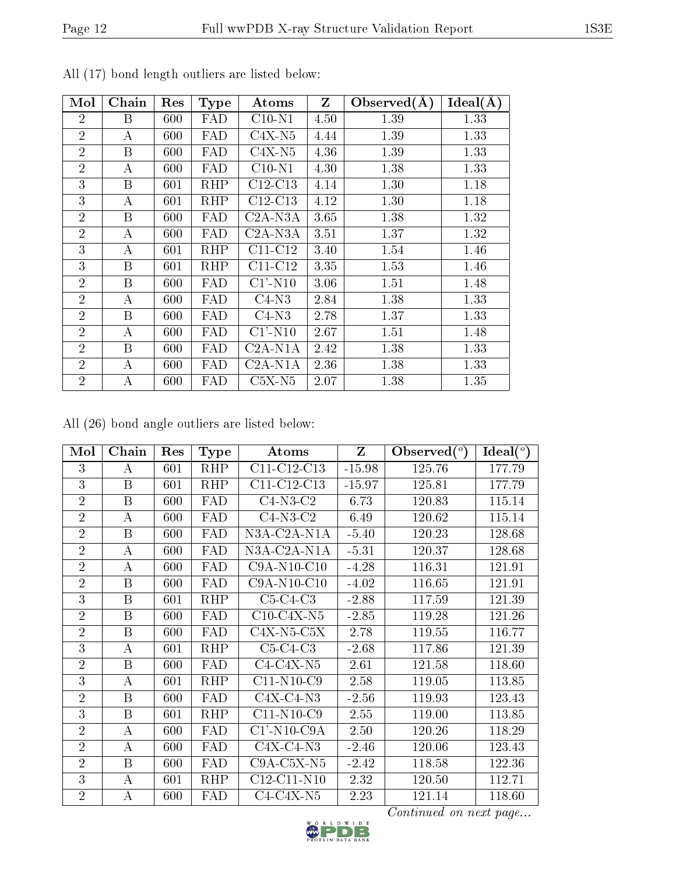| Mol            | Chain | Res | <b>Type</b> | Atoms                             | Z    | Observed $(\AA)$ | Ideal(A) |
|----------------|-------|-----|-------------|-----------------------------------|------|------------------|----------|
| $\overline{2}$ | Β     | 600 | FAD         | $C10-N1$                          | 4.50 | 1.39             | 1.33     |
| $\overline{2}$ | А     | 600 | FAD         | $C4X-N5$                          | 4.44 | 1.39             | 1.33     |
| $\overline{2}$ | B     | 600 | FAD         | $C4X-N5$                          | 4.36 | 1.39             | 1.33     |
| $\overline{2}$ | А     | 600 | FAD         | $C10-N1$                          | 4.30 | 1.38             | 1.33     |
| 3              | B     | 601 | <b>RHP</b>  | $C12-C13$                         | 4.14 | 1.30             | 1.18     |
| 3              | А     | 601 | RHP         | $C12-C13$                         | 4.12 | 1.30             | 1.18     |
| $\overline{2}$ | B     | 600 | FAD         | C <sub>2</sub> A-N <sub>3</sub> A | 3.65 | 1.38             | 1.32     |
| $\overline{2}$ | А     | 600 | FAD         | $C2A-NSA$                         | 3.51 | 1.37             | 1.32     |
| 3              | А     | 601 | RHP         | $C11-C12$                         | 3.40 | 1.54             | 1.46     |
| 3              | B     | 601 | <b>RHP</b>  | $C11-C12$                         | 3.35 | 1.53             | 1.46     |
| $\overline{2}$ | B     | 600 | FAD         | $C1'$ -N10                        | 3.06 | 1.51             | 1.48     |
| $\overline{2}$ | А     | 600 | FAD         | $C4-N3$                           | 2.84 | 1.38             | 1.33     |
| $\overline{2}$ | B     | 600 | FAD         | $C4-N3$                           | 2.78 | 1.37             | 1.33     |
| $\overline{2}$ | А     | 600 | FAD         | $C1'$ -N10                        | 2.67 | 1.51             | 1.48     |
| $\overline{2}$ | B     | 600 | FAD         | $C2A-N1A$                         | 2.42 | 1.38             | 1.33     |
| $\overline{2}$ | A     | 600 | FAD         | $C2A-N1A$                         | 2.36 | 1.38             | 1.33     |
| $\overline{2}$ | А     | 600 | FAD         | $C5X-N5$                          | 2.07 | 1.38             | 1.35     |

All (17) bond length outliers are listed below:

All (26) bond angle outliers are listed below:

| Mol            | Chain            | Res | <b>Type</b> | Atoms                                    | Z        | Observed $(°)$ | Ideal $(°)$ |
|----------------|------------------|-----|-------------|------------------------------------------|----------|----------------|-------------|
| 3              | А                | 601 | <b>RHP</b>  | $C11-C12-C13$                            | $-15.98$ | 125.76         | 177.79      |
| $\overline{3}$ | B                | 601 | <b>RHP</b>  | C11-C12-C13                              | $-15.97$ | 125.81         | 177.79      |
| $\overline{2}$ | B                | 600 | FAD         | $C4-N3-C2$                               | 6.73     | 120.83         | 115.14      |
| $\overline{2}$ | А                | 600 | FAD         | $C4-N3-C2$                               | 6.49     | 120.62         | 115.14      |
| $\overline{2}$ | B                | 600 | FAD         | N3A-C2A-N1A                              | $-5.40$  | 120.23         | 128.68      |
| $\overline{2}$ | $\boldsymbol{A}$ | 600 | FAD         | N3A-C2A-N1A                              | $-5.31$  | 120.37         | 128.68      |
| $\overline{2}$ | А                | 600 | FAD         | $C9A-N10-C10$                            | $-4.28$  | 116.31         | 121.91      |
| $\overline{2}$ | B                | 600 | FAD         | $C9A-N10-C10$                            | $-4.02$  | 116.65         | 121.91      |
| 3              | B                | 601 | <b>RHP</b>  | $C5-C4-C3$                               | $-2.88$  | 117.59         | 121.39      |
| $\overline{2}$ | B                | 600 | FAD         | $C10-C4X-N5$                             | $-2.85$  | 119.28         | 121.26      |
| $\overline{2}$ | $\boldsymbol{B}$ | 600 | FAD         | $C4X-N5-C5X$                             | 2.78     | 119.55         | 116.77      |
| 3              | А                | 601 | <b>RHP</b>  | $C5-C4-C3$                               | $-2.68$  | 117.86         | 121.39      |
| $\overline{2}$ | B                | 600 | FAD         | $C4-C4X-N5$                              | 2.61     | 121.58         | 118.60      |
| 3              | А                | 601 | <b>RHP</b>  | $C11-N10-C9$                             | 2.58     | 119.05         | 113.85      |
| $\overline{2}$ | $\boldsymbol{B}$ | 600 | FAD         | $C4X-C4-N3$                              | $-2.56$  | 119.93         | 123.43      |
| 3              | B                | 601 | <b>RHP</b>  | $C11-N10-C9$                             | 2.55     | 119.00         | 113.85      |
| $\overline{2}$ | $\boldsymbol{A}$ | 600 | FAD         | $C1'$ -N <sub>10</sub> -C <sub>9</sub> A | 2.50     | 120.26         | 118.29      |
| $\overline{2}$ | А                | 600 | FAD         | $C4X-C4-N3$                              | $-2.46$  | 120.06         | 123.43      |
| $\overline{2}$ | B                | 600 | FAD         | $C9A-C5X-N5$                             | $-2.42$  | 118.58         | 122.36      |
| 3              | А                | 601 | <b>RHP</b>  | C12-C11-N10                              | 2.32     | 120.50         | 112.71      |
| $\overline{2}$ | А                | 600 | FAD         | $C4-C4X-N5$                              | 2.23     | 121.14         | 118.60      |

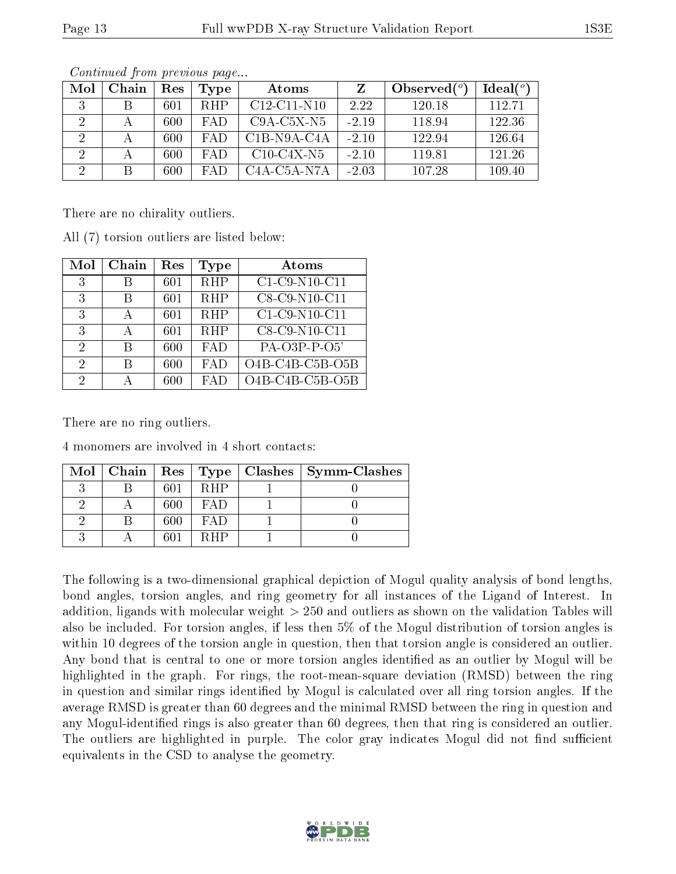| Mol | Chain | Res | Type       | Atoms                                              |         | Observed $(°)$ | Ideal $(°)$ |
|-----|-------|-----|------------|----------------------------------------------------|---------|----------------|-------------|
|     |       | 601 | <b>RHP</b> | $C12-C11-N10$                                      | 2.22    | 120.18         | 112.71      |
|     |       | 600 | FAD.       | $C9A-C5X-N5$                                       | $-2.19$ | 118.94         | 122.36      |
|     |       | 600 | <b>FAD</b> | $C1B-N9A-C4A$                                      | $-2.10$ | 122.94         | 126.64      |
|     |       | 600 | FAD.       | $C10$ -C4X-N5                                      | $-2.10$ | 119.81         | 121.26      |
| റ   |       | 600 | FAD.       | C <sub>4</sub> A-C <sub>5</sub> A-N <sub>7</sub> A | $-2.03$ | 107.28         | 109.40      |

There are no chirality outliers.

All (7) torsion outliers are listed below:

| Mol | Chain | $\operatorname{Res}% \left( \mathcal{N}\right) \equiv\operatorname{Res}(\mathcal{N}_{0})\left( \mathcal{N}_{0}\right) ^{\ast}$ | Type       | Atoms           |
|-----|-------|--------------------------------------------------------------------------------------------------------------------------------|------------|-----------------|
| 3   | В     | 601                                                                                                                            | <b>RHP</b> | $C1-C9-N10-C11$ |
| 3   | В     | 601                                                                                                                            | <b>RHP</b> | C8-C9-N10-C11   |
| 3   | А     | 601                                                                                                                            | <b>RHP</b> | $C1-C9-N10-C11$ |
| 3   | А     | 601                                                                                                                            | <b>RHP</b> | C8-C9-N10-C11   |
| 2   | В     | 600                                                                                                                            | <b>FAD</b> | $PA-O3P-P-O5'$  |
| 2   | В     | 600                                                                                                                            | <b>FAD</b> | O4B-C4B-C5B-O5B |
| 2   |       | 600                                                                                                                            | FA D       | O4B-C4B-C5B-O5B |

There are no ring outliers.

4 monomers are involved in 4 short contacts:

|  |     |            | Mol   Chain   Res   Type   Clashes   Symm-Clashes |
|--|-----|------------|---------------------------------------------------|
|  | 601 | <b>RHP</b> |                                                   |
|  | 600 | FAI)       |                                                   |
|  | 600 | FAI)       |                                                   |
|  | 601 | RHP        |                                                   |

The following is a two-dimensional graphical depiction of Mogul quality analysis of bond lengths, bond angles, torsion angles, and ring geometry for all instances of the Ligand of Interest. In addition, ligands with molecular weight > 250 and outliers as shown on the validation Tables will also be included. For torsion angles, if less then 5% of the Mogul distribution of torsion angles is within 10 degrees of the torsion angle in question, then that torsion angle is considered an outlier. Any bond that is central to one or more torsion angles identified as an outlier by Mogul will be highlighted in the graph. For rings, the root-mean-square deviation (RMSD) between the ring in question and similar rings identified by Mogul is calculated over all ring torsion angles. If the average RMSD is greater than 60 degrees and the minimal RMSD between the ring in question and any Mogul-identified rings is also greater than 60 degrees, then that ring is considered an outlier. The outliers are highlighted in purple. The color gray indicates Mogul did not find sufficient equivalents in the CSD to analyse the geometry.

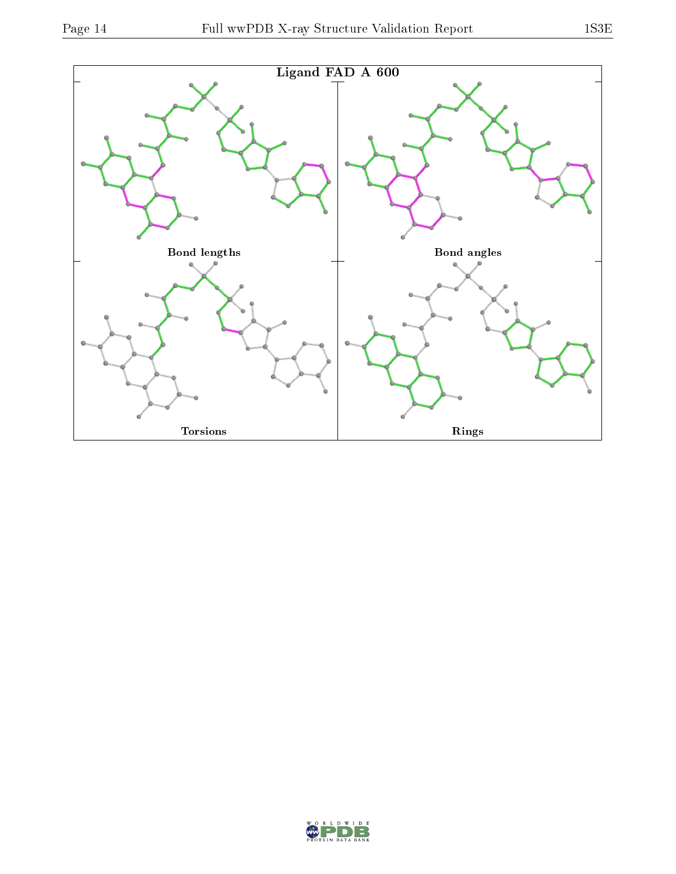

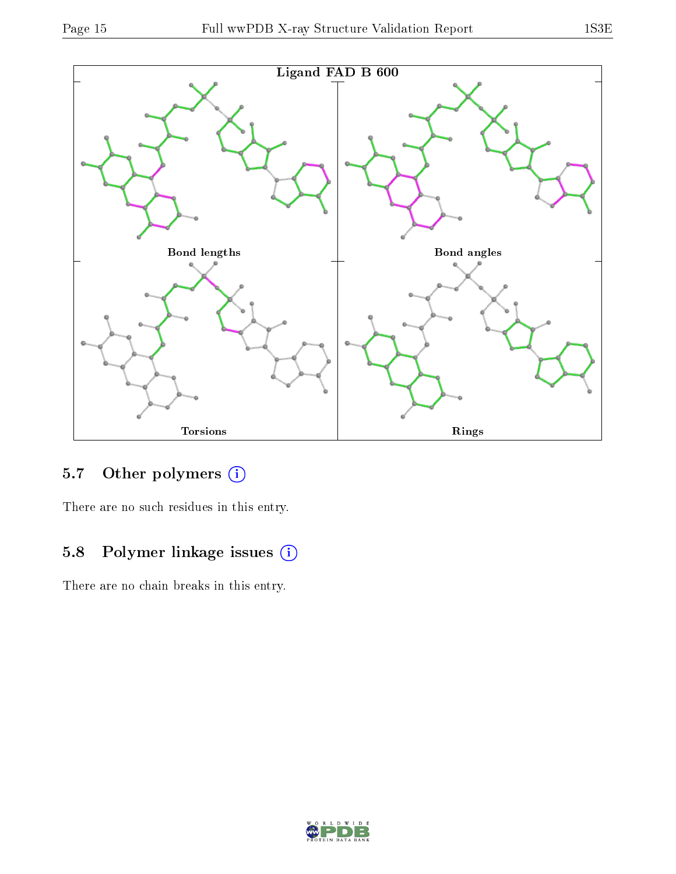



### 5.7 [O](https://www.wwpdb.org/validation/2017/XrayValidationReportHelp#nonstandard_residues_and_ligands)ther polymers (i)

There are no such residues in this entry.

### 5.8 Polymer linkage issues (i)

There are no chain breaks in this entry.

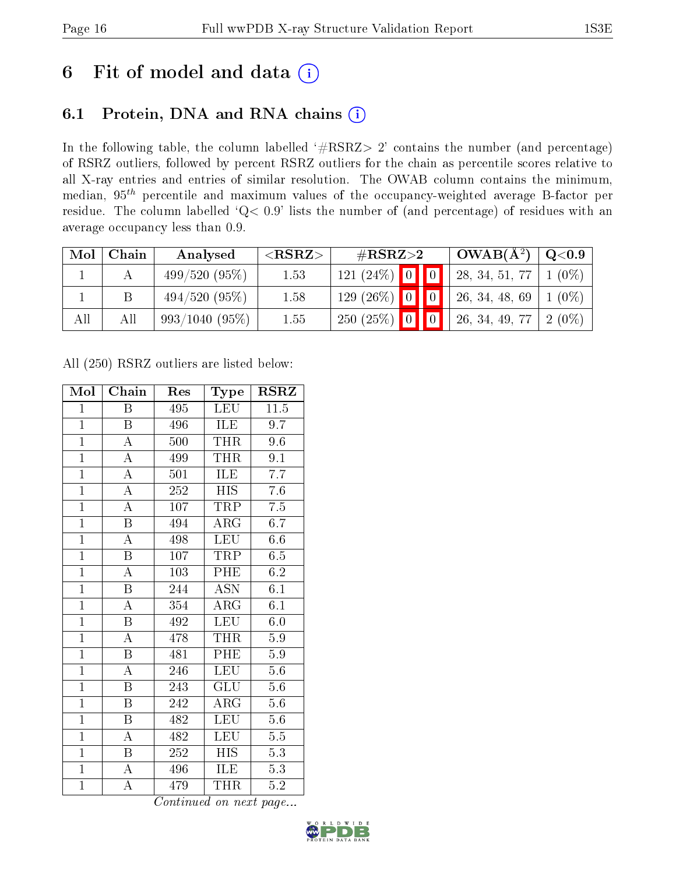## 6 Fit of model and data  $(i)$

## 6.1 Protein, DNA and RNA chains  $(i)$

In the following table, the column labelled  $#RSRZ> 2'$  contains the number (and percentage) of RSRZ outliers, followed by percent RSRZ outliers for the chain as percentile scores relative to all X-ray entries and entries of similar resolution. The OWAB column contains the minimum, median,  $95<sup>th</sup>$  percentile and maximum values of the occupancy-weighted average B-factor per residue. The column labelled ' $Q< 0.9$ ' lists the number of (and percentage) of residues with an average occupancy less than 0.9.

| Mol | Chain | Analysed        | ${ <\hspace{-1.5pt}{\mathrm{RSRZ}} \hspace{-1.5pt}>}$ | $\#\text{RSRZ}\text{>2}$ |  | $\sim$ OWAB( $A^2$ ) | $\rm Q\textcolor{black}{<}0.9$ |          |
|-----|-------|-----------------|-------------------------------------------------------|--------------------------|--|----------------------|--------------------------------|----------|
|     |       | 499/520(95%)    | 1.53                                                  | $121 (24\%)$ 0 0         |  |                      | 28, 34, 51, 77                 | $(0\%)$  |
|     |       | $494/520(95\%)$ | 1.58                                                  | $129(26\%)$ 0 0          |  |                      | 26, 34, 48, 69                 | $(0\%)$  |
| All | Αll   | 993/1040(95%)   | 1.55                                                  | $250(25\%)$ 0 0          |  |                      | 26, 34, 49, 77                 | $2(0\%)$ |

All (250) RSRZ outliers are listed below:

| Mol            | Chain                   | Res              | <b>Type</b>             | <b>RSRZ</b>      |
|----------------|-------------------------|------------------|-------------------------|------------------|
| $\mathbf{1}$   | Β                       | 495              | LEU                     | 11.5             |
| $\mathbf{1}$   | B                       | 496              | ILE                     | 9.7              |
| $\overline{1}$ | $\overline{A}$          | 500              | THR                     | 9.6              |
| $\overline{1}$ | $\overline{\rm A}$      | 499              | <b>THR</b>              | 9.1              |
| $\overline{1}$ | $\overline{\rm A}$      | 501              | <b>ILE</b>              | 7.7              |
| $\overline{1}$ | $\overline{\rm A}$      | 252              | <b>HIS</b>              | 7.6              |
| $\overline{1}$ | $\overline{\rm A}$      | 107              | TRP                     | 7.5              |
| $\overline{1}$ | $\overline{\mathbf{B}}$ | 494              | $\rm{ARG}$              | 6.7              |
| $\overline{1}$ | $\overline{\rm A}$      | 498              | <b>LEU</b>              | 6.6              |
| $\overline{1}$ | $\overline{\mathrm{B}}$ | 107              | <b>TRP</b>              | 6.5              |
| $\overline{1}$ | $\overline{\rm A}$      | 103              | PHE                     | 6.2              |
| $\overline{1}$ | $\overline{\mathrm{B}}$ | 244              | $\overline{\text{ASN}}$ | 6.1              |
| $\overline{1}$ | $\overline{\rm A}$      | 354              | $\rm{ARG}$              | 6.1              |
| $\overline{1}$ | $\overline{\mathrm{B}}$ | 492              | <b>LEU</b>              | 6.0              |
| $\overline{1}$ | $\overline{\rm A}$      | 478              | <b>THR</b>              | $5.9\,$          |
| $\overline{1}$ | $\overline{\mathrm{B}}$ | 481              | PHE                     | $5.9\,$          |
| $\overline{1}$ | $\overline{\rm A}$      | 246              | <b>LEU</b>              | 5.6              |
| $\overline{1}$ | $\, {\bf B}$            | 243              | GLU                     | 5.6              |
| $\overline{1}$ | $\overline{\mathrm{B}}$ | 242              | $\rm{ARG}$              | 5.6              |
| $\overline{1}$ | $\overline{\mathbf{B}}$ | 482              | LEU                     | 5.6              |
| $\mathbf{1}$   | $\overline{\rm A}$      | 482              | <b>LEU</b>              | 5.5              |
| $\overline{1}$ | $\overline{\mathrm{B}}$ | $\overline{252}$ | <b>HIS</b>              | 5.3              |
| $\overline{1}$ | $\overline{\rm A}$      | 496              | ILE                     | 5.3              |
| $\overline{1}$ | А                       | 479              | THR                     | $\overline{5}.2$ |

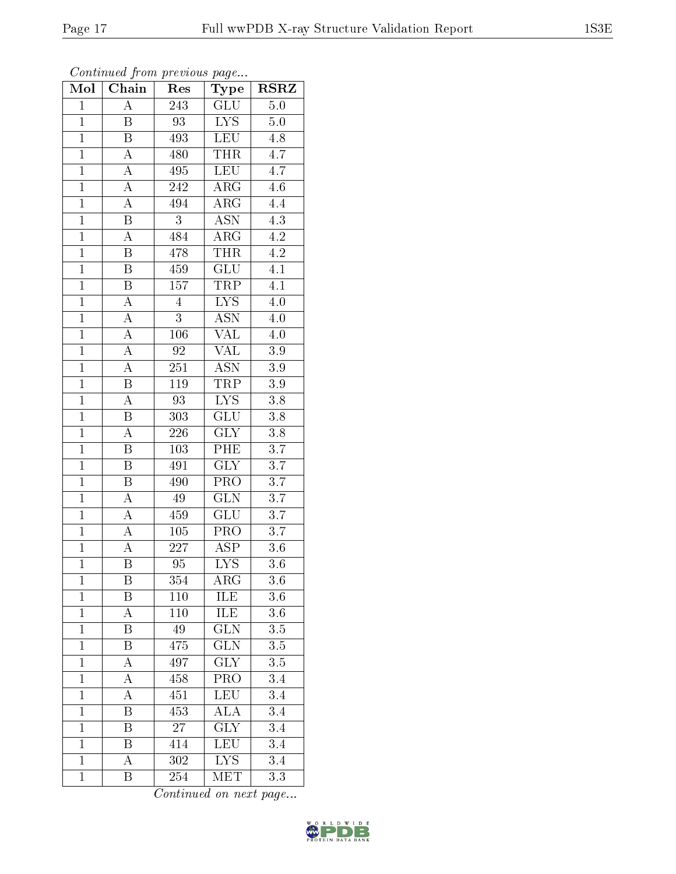Continued from previous page...

| Mol            | Chain                   | Res              | Type                      | $_{\rm RSRZ}$    |
|----------------|-------------------------|------------------|---------------------------|------------------|
| $\mathbf{1}$   | $\overline{\rm A}$      | 243              | GLU                       | 5.0              |
| $\overline{1}$ | $\boldsymbol{B}$        | 93               | <b>LYS</b>                | $5.0\,$          |
| $\overline{1}$ | $\overline{\mathrm{B}}$ | 493              | <b>LEU</b>                | 4.8              |
| $\overline{1}$ | A                       | 480              | <b>THR</b>                | 4.7              |
| $\overline{1}$ | $\overline{A}$          | 495              | <b>LEU</b>                | 4.7              |
| $\overline{1}$ | A                       | 242              | $\rm{ARG}$                | 4.6              |
| $\overline{1}$ | $\overline{\rm A}$      | 494              | $AR\overline{G}$          | 4.4              |
| $\overline{1}$ | $\overline{\mathrm{B}}$ | $\overline{3}$   | <b>ASN</b>                | $\overline{4.3}$ |
| $\overline{1}$ | $\overline{A}$          | 484              | ARG                       | $4.2\,$          |
| $\overline{1}$ | $\overline{\mathrm{B}}$ | 478              | <b>THR</b>                | $4.2\,$          |
| $\overline{1}$ | $\overline{\mathbf{B}}$ | 459              | <b>GLU</b>                | 4.1              |
| $\overline{1}$ | $\overline{\mathrm{B}}$ | 157              | <b>TRP</b>                | $\overline{4.1}$ |
| $\overline{1}$ | $\overline{A}$          | $\overline{4}$   | I <sub>YS</sub>           | $4.0\,$          |
| $\mathbf{1}$   | $\overline{A}$          | 3                | $\overline{\mathrm{ASN}}$ | $4.0\,$          |
| $\overline{1}$ | $\overline{A}$          | 106              | $\overline{\text{VAL}}$   | 4.0              |
| $\mathbf{1}$   | $\overline{A}$          | 92               | VAL                       | $3.9\,$          |
| $\overline{1}$ | $\overline{A}$          | $\overline{251}$ | $\overline{\mathrm{ASN}}$ | $\overline{3.9}$ |
| $\mathbf{1}$   | B                       | 119              | TRP                       | 3.9              |
| $\overline{1}$ | $\overline{A}$          | 93               | <b>LYS</b>                | 3.8              |
| $\overline{1}$ | $\overline{\mathbf{B}}$ | 303              | GLU                       | 3.8              |
| $\overline{1}$ | $\overline{A}$          | $226\,$          | $\overline{\text{GLY}}$   | $\overline{3.8}$ |
| $\overline{1}$ | $\overline{\mathrm{B}}$ | $103\,$          | $\overline{PHE}$          | $\overline{3.7}$ |
| $\overline{1}$ | $\overline{B}$          | 491              | $\overline{\text{GLY}}$   | 3.7              |
| $\overline{1}$ | $\overline{\mathrm{B}}$ | 490              | PRO                       | $\overline{3.7}$ |
| $\overline{1}$ | A                       | $49\,$           | GLN                       | 3.7              |
| $\overline{1}$ | $\boldsymbol{A}$        | 459              | GLU                       | 3.7              |
| $\overline{1}$ | A                       | $\overline{105}$ | $\overline{\text{PRO}}$   | $\overline{3.7}$ |
| $\overline{1}$ | $\rm A$                 | 227              | ASP                       | $3.6\,$          |
| $\overline{1}$ | $\overline{\mathrm{B}}$ | 95               | $\overline{\text{LYS}}$   | $\overline{3.6}$ |
| $\overline{1}$ | $\overline{\mathrm{B}}$ | 354              | $\overline{\rm{ARG}}$     | $\overline{3.6}$ |
| $\overline{1}$ | Β                       | 110              | ILE                       | $3.6\,$          |
| $\mathbf{1}$   | A                       | 110              | ILE                       | 3.6              |
| $\mathbf{1}$   | B                       | $49\,$           | <b>GLN</b>                | 3.5              |
| $\mathbf{1}$   | $\overline{\mathrm{B}}$ | 475              | GLN                       | 3.5              |
| $\mathbf{1}$   | A                       | 497              | <b>GLY</b>                | 3.5              |
| $\overline{1}$ | $\overline{\rm A}$      | 458              | $\overline{\mathrm{PRO}}$ | 3.4              |
| $\mathbf{1}$   | $\overline{\rm A}$      | 451              | LEU                       | 3.4              |
| $\mathbf{1}$   | B                       | 453              | <b>ALA</b>                | 3.4              |
| $\mathbf{1}$   | Β                       | 27               | $\overline{\text{GLY}}$   | 3.4              |
| $\overline{1}$ | B                       | 414              | LEU                       | 3.4              |
| $\mathbf{1}$   | A                       | 302              | <b>LYS</b>                | 3.4              |
| $\mathbf{1}$   | Β                       | 254              | MET                       | 3.3              |

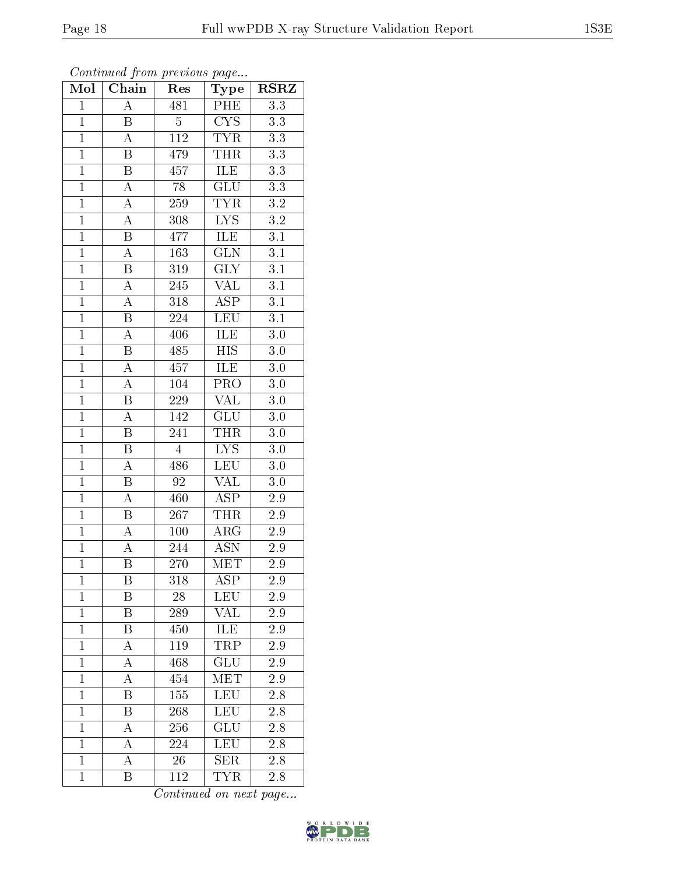| Mol            | Chain                   | Res              | Type                      | <b>RSRZ</b>      |
|----------------|-------------------------|------------------|---------------------------|------------------|
| $\overline{1}$ | $\overline{\rm A}$      | 481              | PHE                       | $\overline{3.3}$ |
| $\mathbf{1}$   | Β                       | $\overline{5}$   | ${\rm CYS}$               | $3.3\,$          |
| $\overline{1}$ | A                       | $\overline{112}$ | <b>TYR</b>                | $\overline{3.3}$ |
| $\overline{1}$ | $\, {\bf B}$            | 479              | <b>THR</b>                | $3.3\,$          |
| $\overline{1}$ | $\overline{\mathrm{B}}$ | 457              | <b>ILE</b>                | $\overline{3.3}$ |
| $\overline{1}$ | $\boldsymbol{A}$        | 78               | <b>GLU</b>                | $3.3\,$          |
| $\overline{1}$ | $\overline{\rm A}$      | 259              | <b>TYR</b>                | $\overline{3.2}$ |
| $\overline{1}$ | $\overline{\rm A}$      | 308              | I <sub>YS</sub>           | $\overline{3.2}$ |
| $\mathbf{1}$   | $\boldsymbol{B}$        | 477              | ILE                       | $\overline{3.1}$ |
| $\overline{1}$ | $\overline{A}$          | 163              | $\overline{\text{GLN}}$   | $\overline{3.1}$ |
| $\mathbf{1}$   | B                       | 319              | $\overline{\text{GLY}}$   | $\overline{3.1}$ |
| $\overline{1}$ | $\overline{\rm A}$      | 245              | $\overline{\text{VAL}}$   | $\overline{3.1}$ |
| $\overline{1}$ | $\overline{\rm A}$      | 318              | <b>ASP</b>                | $\overline{3.1}$ |
| $\overline{1}$ | $\overline{\mathrm{B}}$ | 224              | <b>LEU</b>                | 3.1              |
| $\overline{1}$ | $\overline{A}$          | 406              | <b>ILE</b>                | 3.0              |
| $\overline{1}$ | $\overline{\mathrm{B}}$ | 485              | <b>HIS</b>                | $3.0\,$          |
| $\overline{1}$ | $\overline{A}$          | 457              | $\overline{\text{ILE}}$   | $\overline{3.0}$ |
| $\overline{1}$ | $\boldsymbol{A}$        | $\overline{104}$ | PRO                       | $3.0\,$          |
| $\mathbf{1}$   | B                       | 229              | <b>VAL</b>                | $3.0\,$          |
| $\overline{1}$ | $\overline{\rm A}$      | 142              | GLU                       | 3.0              |
| $\overline{1}$ | $\overline{\mathrm{B}}$ | 241              | THR                       | $3.0\,$          |
| $\overline{1}$ | $\overline{\mathrm{B}}$ | $\overline{4}$   | $\overline{\text{LYS}}$   | $\overline{3.0}$ |
| $\overline{1}$ | $\boldsymbol{A}$        | 486              | <b>LEU</b>                | $3.0\,$          |
| $\overline{1}$ | $\overline{\mathrm{B}}$ | $\overline{92}$  | $\overline{\text{VAL}}$   | $\overline{3.0}$ |
| $\overline{1}$ | $\boldsymbol{A}$        | 460              | <b>ASP</b>                | 2.9              |
| $\overline{1}$ | B                       | 267              | <b>THR</b>                | 2.9              |
| $\overline{1}$ | $\overline{A}$          | 100              | $\overline{\rm{ARG}}$     | $2.9\,$          |
| $\mathbf{1}$   | А                       | $\overline{2}44$ | <b>ASN</b>                | $2.9\,$          |
| $\overline{1}$ | $\overline{\mathrm{B}}$ | 270              | $\overline{\text{MET}}$   | 2.9              |
| $\mathbf 1$    | Β                       | 318              | ASP                       | $2.9\,$          |
| $\mathbf{1}$   | B                       | 28               | LEU                       | 2.9              |
| $\mathbf{1}$   | Β                       | 289              | $\overline{\text{VAL}}$   | 2.9              |
| $\mathbf{1}$   | Β                       | 450              | ILE                       | 2.9              |
| $\mathbf{1}$   | $\overline{\rm A}$      | 119              | TRP                       | 2.9              |
| $\mathbf{1}$   | А                       | 468              | GLU                       | 2.9              |
| $\mathbf{1}$   | $\overline{\rm A}$      | 454              | MET                       | 2.9              |
| $\mathbf{1}$   | $\overline{\mathrm{B}}$ | 155              | <b>LEU</b>                | $\overline{2.8}$ |
| $\mathbf{1}$   | Β                       | 268              | <b>LEU</b>                | 2.8              |
| $\mathbf{1}$   | A                       | 256              | $\overline{\mathrm{GLU}}$ | $\overline{2.8}$ |
| $\mathbf{1}$   | A                       | 224              | <b>LEU</b>                | 2.8              |
| $\overline{1}$ | A                       | 26               | <b>SER</b>                | 2.8              |
| $\mathbf{1}$   | Β                       | 112              | $\overline{\text{TYR}}$   | 2.8              |

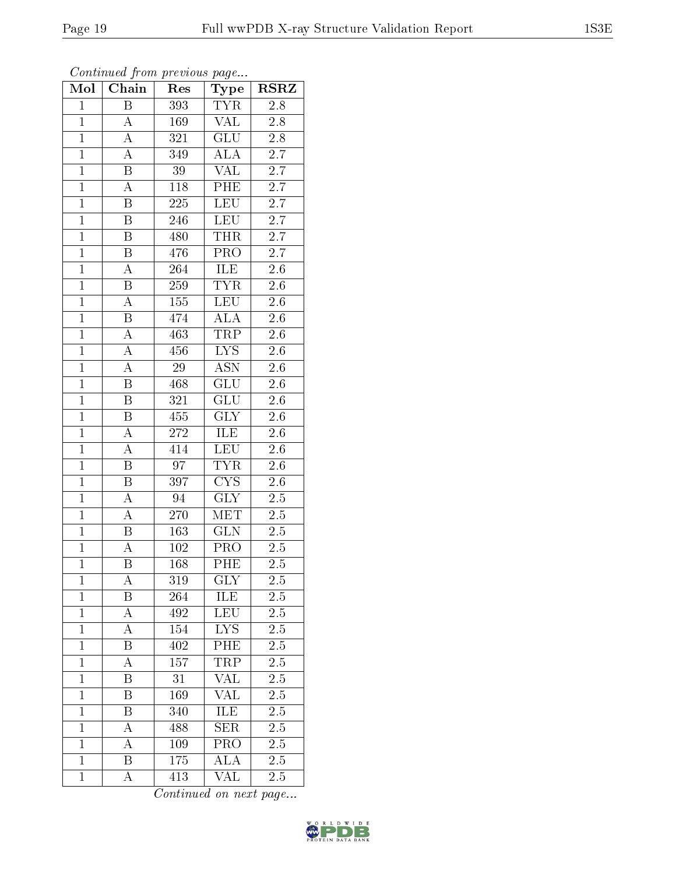| Mol            | Chain                   | Res              | Type                      | $_{\rm RSRZ}$    |
|----------------|-------------------------|------------------|---------------------------|------------------|
| $\mathbf{1}$   | $\overline{B}$          | 393              | <b>TYR</b>                | $\overline{2.8}$ |
| $\mathbf{1}$   | A                       | $\overline{1}69$ | <b>VAL</b>                | 2.8              |
| $\overline{1}$ | $\overline{\rm A}$      | $\overline{321}$ | $\overline{\mathrm{GLU}}$ | $\overline{2.8}$ |
| $\overline{1}$ | $\boldsymbol{A}$        | 349              | <b>ALA</b>                | $2.\overline{7}$ |
| $\overline{1}$ | $\overline{\mathrm{B}}$ | $\overline{39}$  | $\overline{\text{VAL}}$   | $\overline{2.7}$ |
| $\mathbf{1}$   | A                       | 118              | PHE                       | 2.7              |
| $\mathbf{1}$   | B                       | $\overline{225}$ | LEU                       | $\overline{2.7}$ |
| $\overline{1}$ | Β                       | 246              | <b>LEU</b>                | 2.7              |
| $\overline{1}$ | $\boldsymbol{B}$        | 480              | <b>THR</b>                | $\overline{2.7}$ |
| $\overline{1}$ | $\overline{\mathrm{B}}$ | 476              | $\overline{\text{PRO}}$   | $\overline{2.7}$ |
| $\mathbf{1}$   | А                       | 264              | $\overline{\text{ILE}}$   | 2.6              |
| $\overline{1}$ | $\overline{\mathrm{B}}$ | 259              | <b>TYR</b>                | $2.\overline{6}$ |
| $\mathbf{1}$   | A                       | 155              | <b>LEU</b>                | 2.6              |
| $\overline{1}$ | $\boldsymbol{B}$        | 474              | <b>ALA</b>                | 2.6              |
| $\mathbf{1}$   | $\overline{A}$          | 463              | <b>TRP</b>                | 2.6              |
| $\mathbf{1}$   | $\boldsymbol{A}$        | 456              | ${\rm LYS}$               | 2.6              |
| $\mathbf{1}$   | $\overline{\rm A}$      | 29               | $\overline{\mathrm{ASN}}$ | $2.6\,$          |
| $\mathbf{1}$   | $\boldsymbol{B}$        | 468              | GLU                       | 2.6              |
| $\overline{1}$ | $\boldsymbol{B}$        | 321              | $\overline{\text{GLU}}$   | 2.6              |
| $\overline{1}$ | $\overline{\mathrm{B}}$ | 455              | $\overline{\text{GLY}}$   | $\overline{2.6}$ |
| $\mathbf{1}$   | A                       | 272              | ILE                       | 2.6              |
| $\overline{1}$ | $\overline{\rm A}$      | 414              | LEU                       | $\overline{2.6}$ |
| $\overline{1}$ | B                       | 97               | <b>TYR</b>                | $2.\overline{6}$ |
| $\overline{1}$ | $\overline{\mathrm{B}}$ | 397              | $\overline{\text{CYS}}$   | 2.6              |
| $\overline{1}$ | A                       | 94               | GLY                       | $2.5\,$          |
| $\mathbf{1}$   | A                       | $\overline{2}70$ | MET                       | $2.5\,$          |
| $\overline{1}$ | Β                       | 163              | $\overline{\text{GLN}}$   | 2.5              |
| $\overline{1}$ | A                       | 102              | PRO                       | $2.5\,$          |
| $\overline{1}$ | $\overline{\mathrm{B}}$ | 168              | $\overline{\mathrm{PHE}}$ | 2.5              |
| $\mathbf 1$    | А                       | 319              | $_{\rm GLY}$              | 2.5              |
| $\mathbf{1}$   | B                       | 264              | ILE                       | 2.5              |
| $\mathbf{1}$   | А                       | 492              | LEU                       | 2.5              |
| $\mathbf{1}$   | A                       | 154              | $\overline{L}YS$          | 2.5              |
| $\mathbf{1}$   | Β                       | 402              | $\overline{\mathrm{PHE}}$ | 2.5              |
| $\mathbf{1}$   | А                       | 157              | TRP                       | 2.5              |
| $\mathbf{1}$   | Β                       | 31               | VAL                       | 2.5              |
| $\mathbf{1}$   | $\overline{B}$          | 169              | VAL                       | 2.5              |
| $\mathbf{1}$   | Β                       | 340              | ILE                       | 2.5              |
| $\overline{1}$ | А                       | 488              | SER                       | $\overline{2.5}$ |
| $\mathbf{1}$   | А                       | 109              | PRO                       | 2.5              |
| $\overline{1}$ | B                       | 175              | ALA                       | $2.5\,$          |
| $\mathbf{1}$   | А                       | 413              | VAL                       | 2.5              |

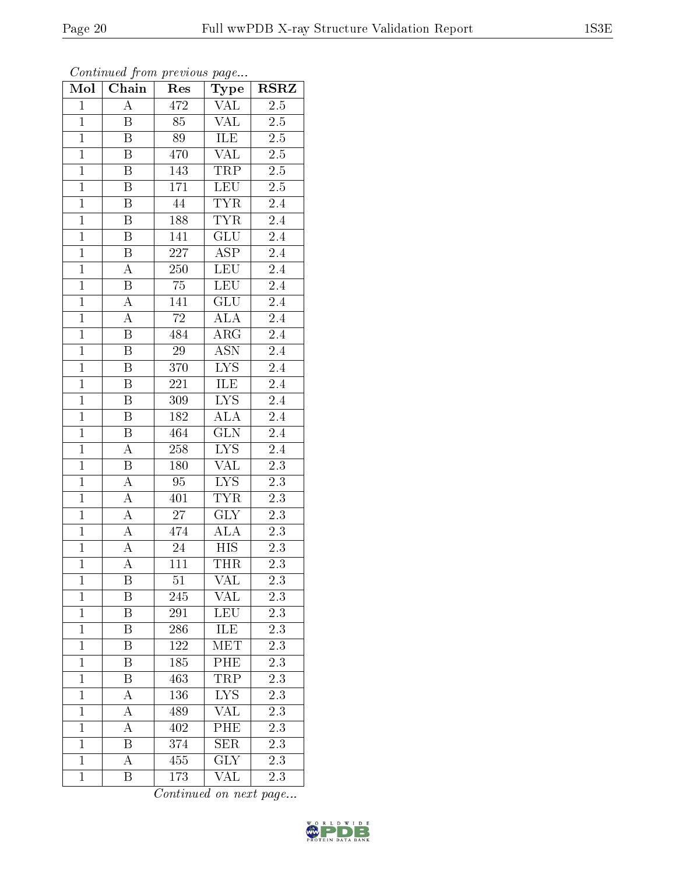| Mol            | Chain                   | Res              | Type                      | $_{\rm RSRZ}$    |
|----------------|-------------------------|------------------|---------------------------|------------------|
| $\mathbf{1}$   | $\overline{\rm A}$      | 472              | VAL                       | 2.5              |
| $\mathbf{1}$   | Β                       | 85               | <b>VAL</b>                | 2.5              |
| $\overline{1}$ | $\overline{\mathrm{B}}$ | 89               | ILE                       | $\overline{2.5}$ |
| $\overline{1}$ | Β                       | 470              | <b>VAL</b>                | $2.\overline{5}$ |
| $\overline{1}$ | $\overline{\mathrm{B}}$ | $\overline{143}$ | <b>TRP</b>                | $\overline{2.5}$ |
| $\overline{1}$ | $\, {\bf B}$            | 171              | <b>LEU</b>                | $2.5\,$          |
| $\mathbf{1}$   | $\boldsymbol{B}$        | 44               | <b>TYR</b>                | 2.4              |
| $\overline{1}$ | B                       | 188              | <b>TYR</b>                | $2.4\,$          |
| $\overline{1}$ | B                       | 141              | $\overline{\text{GLU}}$   | $\overline{2.4}$ |
| $\overline{1}$ | $\overline{\mathrm{B}}$ | $227\,$          | <b>ASP</b>                | $\overline{2.4}$ |
| $\mathbf{1}$   | A                       | 250              | <b>LEU</b>                | 2.4              |
| $\overline{1}$ | $\overline{\mathrm{B}}$ | $\overline{75}$  | <b>LEU</b>                | 2.4              |
| $\mathbf{1}$   | $\overline{A}$          | 141              | $\overline{\text{GLU}}$   | 2.4              |
| $\overline{1}$ | $\overline{A}$          | $\overline{72}$  | <b>ALA</b>                | 2.4              |
| $\overline{1}$ | $\overline{\mathrm{B}}$ | 484              | $\overline{\rm{ARG}}$     | 2.4              |
| $\mathbf{1}$   | $\, {\bf B}$            | $\,29$           | $\overline{\mathrm{ASN}}$ | 2.4              |
| $\overline{1}$ | $\overline{\mathrm{B}}$ | 370              | $\overline{\text{LYS}}$   | $2.4\,$          |
| $\overline{1}$ | $\boldsymbol{B}$        | $221\,$          | ILE                       | $\overline{2}.4$ |
| $\overline{1}$ | $\boldsymbol{B}$        | 309              | ${\rm LYS}$               | 2.4              |
| $\overline{1}$ | $\overline{\mathrm{B}}$ | 182              | $\overline{\text{ALA}}$   | $\overline{2.4}$ |
| $\mathbf{1}$   | $\boldsymbol{B}$        | 464              | $\overline{\text{GLN}}$   | 2.4              |
| $\overline{1}$ | $\overline{\rm A}$      | 258              | <b>LYS</b>                | $\overline{2.4}$ |
| $\overline{1}$ | B                       | 180              | <b>VAL</b>                | $2.\overline{3}$ |
| $\overline{1}$ | A                       | $\overline{95}$  | $\overline{\text{LYS}}$   | $\overline{2.3}$ |
| $\overline{1}$ | A                       | 401              | <b>TYR</b>                | 2.3              |
| $\overline{1}$ | $\boldsymbol{A}$        | $\overline{27}$  | GLY                       | $2.3\,$          |
| $\overline{1}$ | $\boldsymbol{A}$        | 474              | $\overline{\rm ALA}$      | 2.3              |
| $\overline{1}$ | $\boldsymbol{A}$        | 24               | <b>HIS</b>                | 2.3              |
| $\overline{1}$ | $\overline{\rm A}$      | 111              | <b>THR</b>                | $2.3\,$          |
| $\mathbf 1$    | Β                       | 51               | VAL                       | 2.3              |
| $\mathbf{1}$   | Β                       | 245              | <b>VAL</b>                | $2.3\,$          |
| $\mathbf{1}$   | B                       | 291              | <b>LEU</b>                | 2.3              |
| $\mathbf{1}$   | B                       | 286              | ILE                       | 2.3              |
| $\mathbf{1}$   | $\boldsymbol{B}$        | 122              | MET                       | $\overline{2.3}$ |
| $\mathbf{1}$   | B                       | 185              | PHE                       | 2.3              |
| $\mathbf{1}$   | B                       | 463              | <b>TRP</b>                | 2.3              |
| $\mathbf{1}$   | А                       | 136              | <b>LYS</b>                | 2.3              |
| $\mathbf{1}$   | A                       | 489              | <b>VAL</b>                | 2.3              |
| $\mathbf{1}$   | A                       | 402              | PHE                       | $\overline{2.3}$ |
| $\mathbf 1$    | Β                       | 374              | <b>SER</b>                | 2.3              |
| $\mathbf{1}$   | A                       | 455              | GLY                       | 2.3              |
| $\mathbf{1}$   | Β                       | 173              | VAL                       | 2.3              |

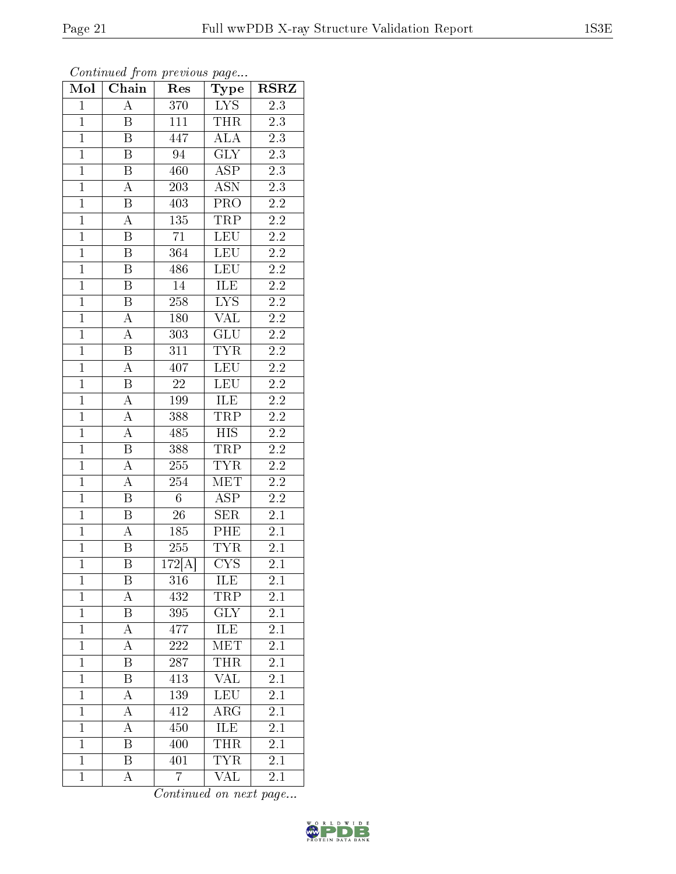| Mol            | Chain                   | Res              | Type                                                                | <b>RSRZ</b>         |
|----------------|-------------------------|------------------|---------------------------------------------------------------------|---------------------|
| $\overline{1}$ | $\overline{\rm A}$      | 370              | ${\rm LYS}$                                                         | $\overline{2.3}$    |
| $\overline{1}$ | Β                       | 111              | <b>THR</b>                                                          | 2.3                 |
| $\overline{1}$ | $\overline{\mathrm{B}}$ | 447              | $\overline{\text{ALA}}$                                             | $\overline{2.3}$    |
| $\mathbf{1}$   | B                       | 94               | $\overline{\text{GLY}}$                                             | $2.3^{\overline{}}$ |
| $\overline{1}$ | $\overline{\mathrm{B}}$ | 460              | <b>ASP</b>                                                          | $\overline{2.3}$    |
| $\overline{1}$ | $\boldsymbol{A}$        | 203              | <b>ASN</b>                                                          | $2.\overline{3}$    |
| $\overline{1}$ | B                       | 403              | $\overline{\text{PRO}}$                                             | $\overline{2.2}$    |
| $\overline{1}$ | $\overline{\rm A}$      | 135              | <b>TRP</b>                                                          | $\overline{2.2}$    |
| $\overline{1}$ | $\, {\bf B}$            | $\overline{71}$  | LEU                                                                 | $\overline{2.2}$    |
| $\overline{1}$ | $\overline{\mathrm{B}}$ | 364              | <b>LEU</b>                                                          | $\overline{2.2}$    |
| $\overline{1}$ | $\boldsymbol{B}$        | 486              | LEU                                                                 | $\overline{2.2}$    |
| $\overline{1}$ | $\overline{\mathrm{B}}$ | 14               | <b>ILE</b>                                                          | $\overline{2.2}$    |
| $\overline{1}$ | $\overline{\mathbf{B}}$ | $258\,$          | <b>LYS</b>                                                          | $2.2\,$             |
| $\mathbf{1}$   | $\boldsymbol{A}$        | 180              | <b>VAL</b>                                                          | $2.2\,$             |
| $\overline{1}$ | $\overline{\rm A}$      | 303              | $\overline{\text{GLU}}$                                             | $\overline{2.2}$    |
| $\overline{1}$ | $\overline{\mathrm{B}}$ | 311              | $\ensuremath{\mathsf{T}}\overline{\mathsf{Y}}\overline{\mathsf{R}}$ | $\overline{2.2}$    |
| $\overline{1}$ | $\overline{A}$          | 407              | LEU                                                                 | $\overline{2.2}$    |
| $\mathbf{1}$   | $\, {\bf B}$            | $22\,$           | <b>LEU</b>                                                          | $\overline{2.2}$    |
| $\mathbf{1}$   | $\overline{A}$          | 199              | ILE                                                                 | $2.2\,$             |
| $\overline{1}$ | $\overline{\rm A}$      | 388              | <b>TRP</b>                                                          | $\overline{2.2}$    |
| $\overline{1}$ | $\overline{A}$          | 485              | <b>HIS</b>                                                          | $\overline{2.2}$    |
| $\overline{1}$ | $\overline{\mathrm{B}}$ | 388              | TRP                                                                 | $\overline{2.2}$    |
| $\mathbf{1}$   | $\overline{A}$          | 255              | <b>TYR</b>                                                          | $2.2\,$             |
| $\overline{1}$ | $\overline{\rm A}$      | $\overline{254}$ | MET                                                                 | $\overline{2.2}$    |
| $\overline{1}$ | $\overline{B}$          | $6\phantom{.}$   | <b>ASP</b>                                                          | 2.2                 |
| $\overline{1}$ | B                       | 26               | SER                                                                 | 2.1                 |
| $\overline{1}$ | A                       | 185              | PHE                                                                 | 2.1                 |
| $\overline{1}$ | B                       | 255              | <b>TYR</b>                                                          | $\overline{2}.1$    |
| $\overline{1}$ | $\overline{\mathrm{B}}$ | 172[A]           | $\overline{\text{CYS}}$                                             | $\overline{2}.1$    |
| 1              | Β                       | 316              | ILE                                                                 | 2.1                 |
| $\mathbf{1}$   | А                       | 432              | TRP                                                                 | 2.1                 |
| $\mathbf{1}$   | Β                       | 395              | GLY                                                                 | 2.1                 |
| $\mathbf 1$    | А                       | 477              | ILE                                                                 | 2.1                 |
| $\mathbf{1}$   | A                       | 222              | ${\rm M \overline{ET}}$                                             | 2.1                 |
| $\mathbf{1}$   | B                       | 287              | THR                                                                 | 2.1                 |
| $\mathbf{1}$   | B                       | 413              | <b>VAL</b>                                                          | 2.1                 |
| $\mathbf{1}$   | $\overline{\rm A}$      | 139              | <b>LEU</b>                                                          | 2.1                 |
| $\mathbf{1}$   | А                       | 412              | $\rm{ARG}$                                                          | 2.1                 |
| $\mathbf{1}$   | $\overline{\rm A}$      | 450              | ILE                                                                 | 2.1                 |
| $\mathbf{1}$   | Β                       | 400              | <b>THR</b>                                                          | 2.1                 |
| $\overline{1}$ | $\overline{\mathrm{B}}$ | 401              | <b>TYR</b>                                                          | $\overline{2.1}$    |
| $\mathbf{1}$   | A                       | 7                | VAL                                                                 | 2.1                 |

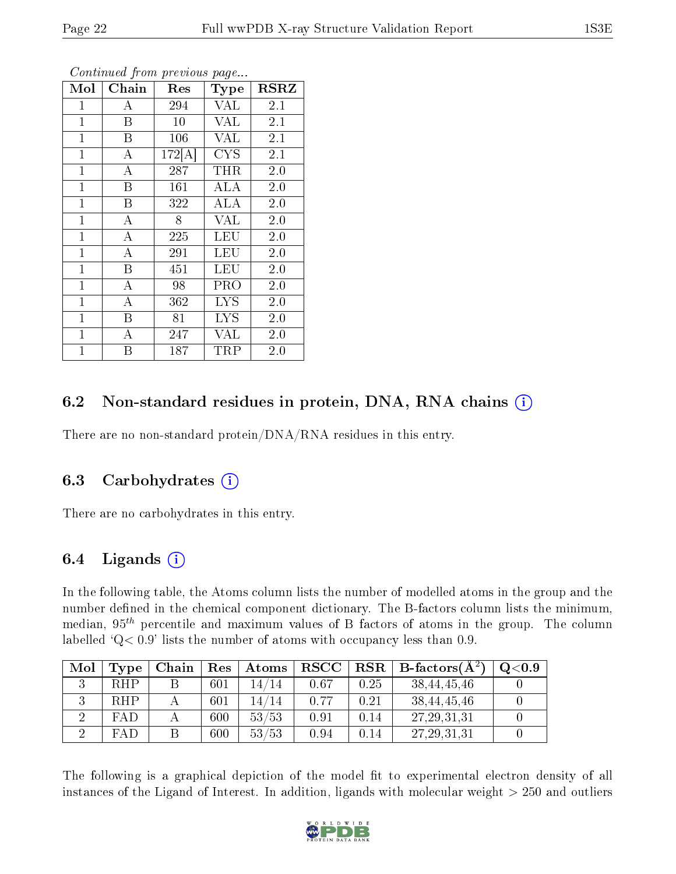| Mol          | Chain              | Res    | <b>Type</b> | $_{\rm RSRZ}$ |  |
|--------------|--------------------|--------|-------------|---------------|--|
| 1            | А                  | 294    | <b>VAL</b>  | 2.1           |  |
| $\mathbf{1}$ | B                  | 10     | <b>VAL</b>  | 2.1           |  |
| $\mathbf{1}$ | $\boldsymbol{B}$   | 106    | <b>VAL</b>  | 2.1           |  |
| $\mathbf{1}$ | $\bf{A}$           | 172[A] | <b>CYS</b>  | 2.1           |  |
| $\mathbf{1}$ | А                  | 287    | THR         | 2.0           |  |
| $\mathbf{1}$ | Β                  | 161    | ALA         | 2.0           |  |
| $\mathbf{1}$ | B                  | 322    | <b>ALA</b>  | 2.0           |  |
| $\mathbf{1}$ | $\boldsymbol{A}$   | 8      | <b>VAL</b>  | 2.0           |  |
| $\mathbf{1}$ | $\bf{A}$           | 225    | <b>LEU</b>  | 2.0           |  |
| $\mathbf{1}$ | $\overline{\rm A}$ | 291    | LEU         | 2.0           |  |
| 1            | B                  | 451    | LEU         | 2.0           |  |
| $\mathbf{1}$ | А                  | 98     | PRO         | 2.0           |  |
| $\mathbf{1}$ | $\boldsymbol{A}$   | 362    | <b>LYS</b>  | 2.0           |  |
| $\mathbf{1}$ | B                  | 81     | <b>LYS</b>  | 2.0           |  |
| $\mathbf{1}$ | А                  | 247    | <b>VAL</b>  | 2.0           |  |
| $\mathbf{1}$ | B                  | 187    | TRP         | 2.0           |  |

### 6.2 Non-standard residues in protein, DNA, RNA chains  $(i)$

There are no non-standard protein/DNA/RNA residues in this entry.

#### 6.3 Carbohydrates (i)

There are no carbohydrates in this entry.

### 6.4 Ligands  $(i)$

In the following table, the Atoms column lists the number of modelled atoms in the group and the number defined in the chemical component dictionary. The B-factors column lists the minimum, median,  $95<sup>th</sup>$  percentile and maximum values of B factors of atoms in the group. The column labelled  $Q < 0.9$ ' lists the number of atoms with occupancy less than 0.9.

| Mol | Type       | Chain | Res | Atoms | $_{\rm RSCC}$ | $\ $ RSR $\ $ | $\perp$ B-factors( $\overline{A^2}$ ) | Q <sub>0.9</sub> |
|-----|------------|-------|-----|-------|---------------|---------------|---------------------------------------|------------------|
|     | <b>RHP</b> |       | 601 | 14/14 | 0.67          | 0.25          | 38,44,45,46                           |                  |
|     | <b>RHP</b> |       | 601 | 14/14 | 0.77          | 0.21          | 38, 44, 45, 46                        |                  |
|     | <b>FAD</b> |       | 600 | 53/53 | 0.91          | 0.14          | 27, 29, 31, 31                        |                  |
|     | <b>FAD</b> |       | 600 | 53/53 | 0.94          | 0.14          | 27, 29, 31, 31                        |                  |

The following is a graphical depiction of the model fit to experimental electron density of all instances of the Ligand of Interest. In addition, ligands with molecular weight  $> 250$  and outliers

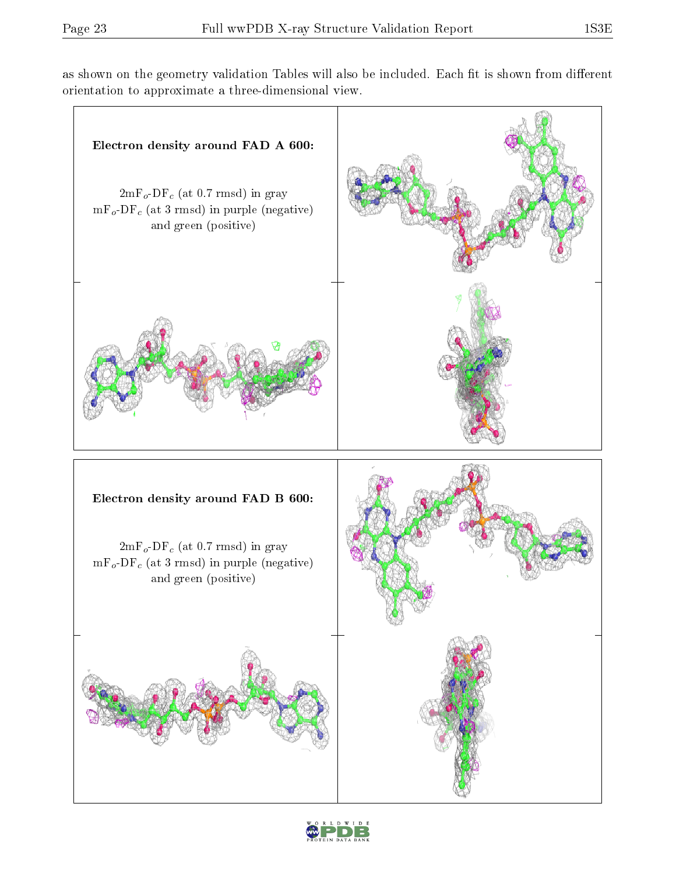as shown on the geometry validation Tables will also be included. Each fit is shown from different orientation to approximate a three-dimensional view.